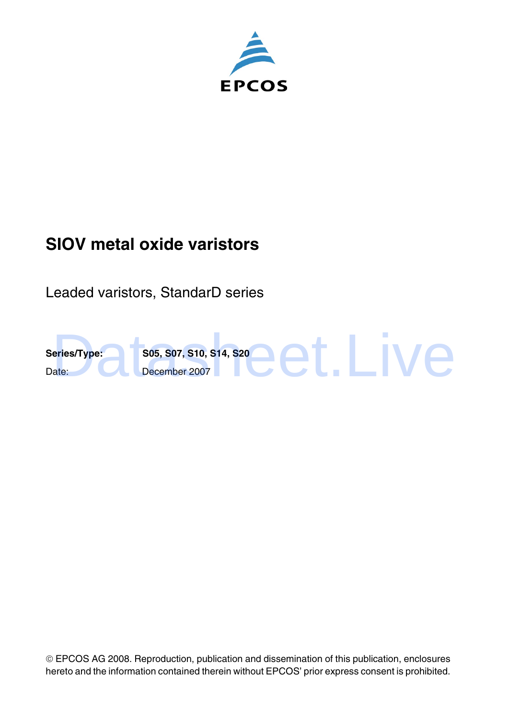

# **SIOV metal oxide varistors**

Leaded varistors, StandarD series



 EPCOS AG 2008. Reproduction, publication and dissemination of this publication, enclosures hereto and the information contained therein without EPCOS' prior express consent is prohibited.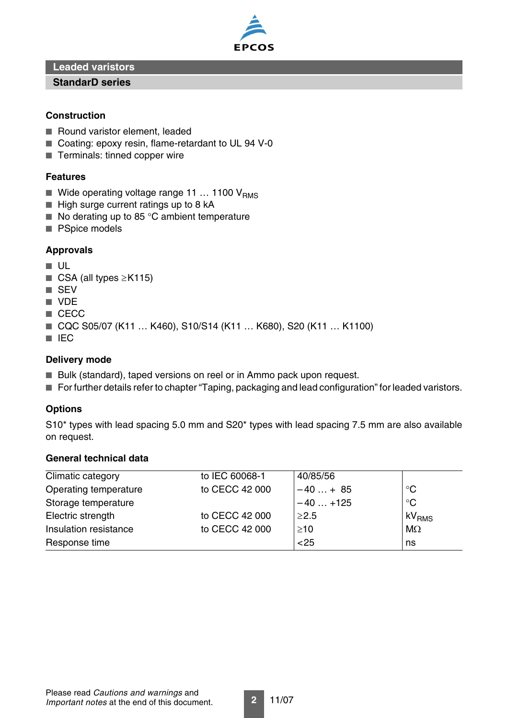

**Leaded varistors**

#### **StandarD series**

#### **Construction**

- Round varistor element, leaded
- Coating: epoxy resin, flame-retardant to UL 94 V-0
- Terminals: tinned copper wire

#### **Features**

- $\blacksquare$  Wide operating voltage range 11 ... 1100  $V_{RMS}$
- High surge current ratings up to 8 kA
- No derating up to 85 °C ambient temperature
- PSpice models

## **Approvals**

- UL
- CSA (all types  $≥K115$ )
- SEV
- VDE
- CECC
- CQC S05/07 (K11 ... K460), S10/S14 (K11 ... K680), S20 (K11 ... K1100)
- IEC

#### **Delivery mode**

- Bulk (standard), taped versions on reel or in Ammo pack upon request.
- For further details refer to chapter "Taping, packaging and lead configuration" for leaded varistors.

## **Options**

S10\* types with lead spacing 5.0 mm and S20\* types with lead spacing 7.5 mm are also available on request.

# **General technical data**

| Climatic category     | to IEC 60068-1 | 40/85/56   |                   |
|-----------------------|----------------|------------|-------------------|
| Operating temperature | to CECC 42 000 | $-40+85$   | $\rm ^{\circ}C$   |
| Storage temperature   |                | $-40+125$  | $\rm ^{\circ}C$   |
| Electric strength     | to CECC 42 000 | $\geq$ 2.5 | kV <sub>RMS</sub> |
| Insulation resistance | to CECC 42 000 | $\geq$ 10  | $M\Omega$         |
| Response time         |                | $25$       | ns                |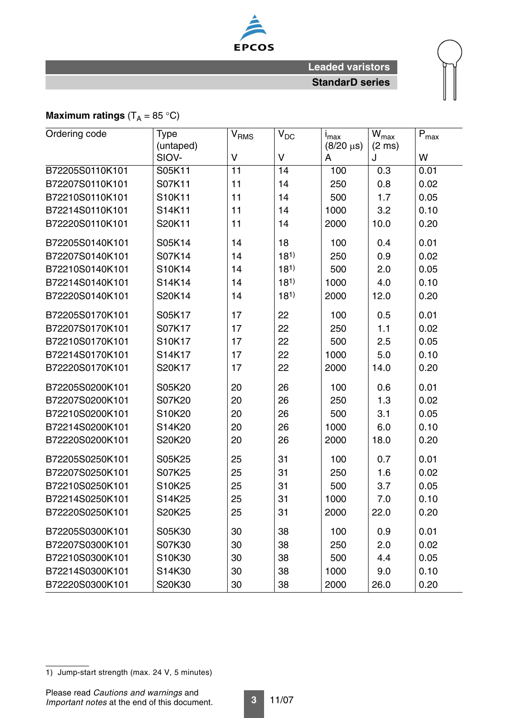

# **Maximum ratings**  $(T_A = 85 \degree C)$

| Ordering code<br><b>Type</b><br>$V_{DC}$<br>V <sub>RMS</sub><br>(untaped) |        |                 | $I_{\text{max}}$<br>$(8/20 \,\mu s)$ | $W_{\text{max}}$<br>$(2 \text{ ms})$ | $\mathsf{P}_{\text{max}}$ |      |
|---------------------------------------------------------------------------|--------|-----------------|--------------------------------------|--------------------------------------|---------------------------|------|
|                                                                           | SIOV-  | $\vee$          | V                                    | A                                    | J                         | W    |
| B72205S0110K101                                                           | S05K11 | $\overline{11}$ | 14                                   | 100                                  | 0.3                       | 0.01 |
| B72207S0110K101                                                           | S07K11 | 11              | 14                                   | 250                                  | 0.8                       | 0.02 |
| B72210S0110K101                                                           | S10K11 | 11              | 14                                   | 500                                  | 1.7                       | 0.05 |
| B72214S0110K101                                                           | S14K11 | 11              | 14                                   | 1000                                 | 3.2                       | 0.10 |
| B72220S0110K101                                                           | S20K11 | 11              | 14                                   | 2000                                 | 10.0                      | 0.20 |
| B72205S0140K101                                                           | S05K14 | 14              | 18                                   | 100                                  | 0.4                       | 0.01 |
| B72207S0140K101                                                           | S07K14 | 14              | 18 <sup>1</sup>                      | 250                                  | 0.9                       | 0.02 |
| B72210S0140K101                                                           | S10K14 | 14              | 18 <sup>1</sup>                      | 500                                  | 2.0                       | 0.05 |
| B72214S0140K101                                                           | S14K14 | 14              | $18^{1}$                             | 1000                                 | 4.0                       | 0.10 |
| B72220S0140K101                                                           | S20K14 | 14              | 18 <sup>1</sup>                      | 2000                                 | 12.0                      | 0.20 |
| B72205S0170K101                                                           | S05K17 | 17              | 22                                   | 100                                  | 0.5                       | 0.01 |
| B72207S0170K101                                                           | S07K17 | 17              | 22                                   | 250                                  | 1.1                       | 0.02 |
| B72210S0170K101                                                           | S10K17 | 17              | 22                                   | 500                                  | 2.5                       | 0.05 |
| B72214S0170K101                                                           | S14K17 | 17              | 22                                   | 1000                                 | 5.0                       | 0.10 |
| B72220S0170K101                                                           | S20K17 | 17              | 22                                   | 2000                                 | 14.0                      | 0.20 |
| B72205S0200K101                                                           | S05K20 | 20              | 26                                   | 100                                  | 0.6                       | 0.01 |
| B72207S0200K101                                                           | S07K20 | 20              | 26                                   | 250                                  | 1.3                       | 0.02 |
| B72210S0200K101                                                           | S10K20 | 20              | 26                                   | 500                                  | 3.1                       | 0.05 |
| B72214S0200K101                                                           | S14K20 | 20              | 26                                   | 1000                                 | 6.0                       | 0.10 |
| B72220S0200K101                                                           | S20K20 | 20              | 26                                   | 2000                                 | 18.0                      | 0.20 |
| B72205S0250K101                                                           | S05K25 | 25              | 31                                   | 100                                  | 0.7                       | 0.01 |
| B72207S0250K101                                                           | S07K25 | 25              | 31                                   | 250                                  | 1.6                       | 0.02 |
| B72210S0250K101                                                           | S10K25 | 25              | 31                                   | 500                                  | 3.7                       | 0.05 |
| B72214S0250K101                                                           | S14K25 | 25              | 31                                   | 1000                                 | 7.0                       | 0.10 |
| B72220S0250K101                                                           | S20K25 | 25              | 31                                   | 2000                                 | 22.0                      | 0.20 |
| B72205S0300K101                                                           | S05K30 | 30              | 38                                   | 100                                  | 0.9                       | 0.01 |
| B72207S0300K101                                                           | S07K30 | 30              | 38                                   | 250                                  | 2.0                       | 0.02 |
| B72210S0300K101                                                           | S10K30 | 30              | 38                                   | 500                                  | 4.4                       | 0.05 |
| B72214S0300K101                                                           | S14K30 | 30              | 38                                   | 1000                                 | 9.0                       | 0.10 |
| B72220S0300K101                                                           | S20K30 | 30              | 38                                   | 2000                                 | 26.0                      | 0.20 |

<sup>1)</sup> Jump-start strength (max. 24 V, 5 minutes)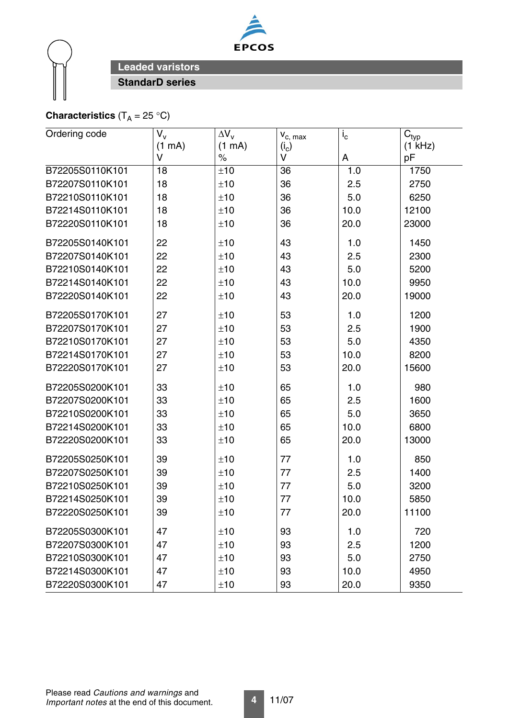



# **Characteristics**  $(T_A = 25 \text{ }^{\circ}\text{C})$

| Ordering code   | $V_{v}$ | $\Delta V_{\rm v}$ | $V_{c, max}$ | $i_{\rm c}$ | $C_{typ}$ |
|-----------------|---------|--------------------|--------------|-------------|-----------|
|                 | (1 mA)  | (1 mA)             | $(i_c)$      |             | $(1$ kHz) |
|                 | V       | $\%$               | V            | A           | pF        |
| B72205S0110K101 | 18      | ±10                | 36           | 1.0         | 1750      |
| B72207S0110K101 | 18      | ±10                | 36           | 2.5         | 2750      |
| B72210S0110K101 | 18      | ±10                | 36           | 5.0         | 6250      |
| B72214S0110K101 | 18      | ±10                | 36           | 10.0        | 12100     |
| B72220S0110K101 | 18      | ±10                | 36           | 20.0        | 23000     |
| B72205S0140K101 | 22      | ±10                | 43           | 1.0         | 1450      |
| B72207S0140K101 | 22      | ±10                | 43           | 2.5         | 2300      |
| B72210S0140K101 | 22      | ±10                | 43           | 5.0         | 5200      |
| B72214S0140K101 | 22      | ±10                | 43           | 10.0        | 9950      |
| B72220S0140K101 | 22      | ±10                | 43           | 20.0        | 19000     |
| B72205S0170K101 | 27      | ±10                | 53           | 1.0         | 1200      |
| B72207S0170K101 | 27      | ±10                | 53           | 2.5         | 1900      |
| B72210S0170K101 | 27      | ±10                | 53           | 5.0         | 4350      |
| B72214S0170K101 | 27      | ±10                | 53           | 10.0        | 8200      |
| B72220S0170K101 | 27      | ±10                | 53           | 20.0        | 15600     |
| B72205S0200K101 | 33      | ±10                | 65           | 1.0         | 980       |
| B72207S0200K101 | 33      | ±10                | 65           | 2.5         | 1600      |
| B72210S0200K101 | 33      | ±10                | 65           | 5.0         | 3650      |
| B72214S0200K101 | 33      | ±10                | 65           | 10.0        | 6800      |
| B72220S0200K101 | 33      | ±10                | 65           | 20.0        | 13000     |
| B72205S0250K101 | 39      | ±10                | 77           | 1.0         | 850       |
| B72207S0250K101 | 39      | ±10                | 77           | 2.5         | 1400      |
| B72210S0250K101 | 39      | ±10                | 77           | 5.0         | 3200      |
| B72214S0250K101 | 39      | ±10                | 77           | 10.0        | 5850      |
| B72220S0250K101 | 39      | ±10                | 77           | 20.0        | 11100     |
| B72205S0300K101 | 47      | ±10                | 93           | 1.0         | 720       |
| B72207S0300K101 | 47      | ±10                | 93           | 2.5         | 1200      |
| B72210S0300K101 | 47      | ±10                | 93           | 5.0         | 2750      |
| B72214S0300K101 | 47      | ±10                | 93           | 10.0        | 4950      |
| B72220S0300K101 | 47      | ±10                | 93           | 20.0        | 9350      |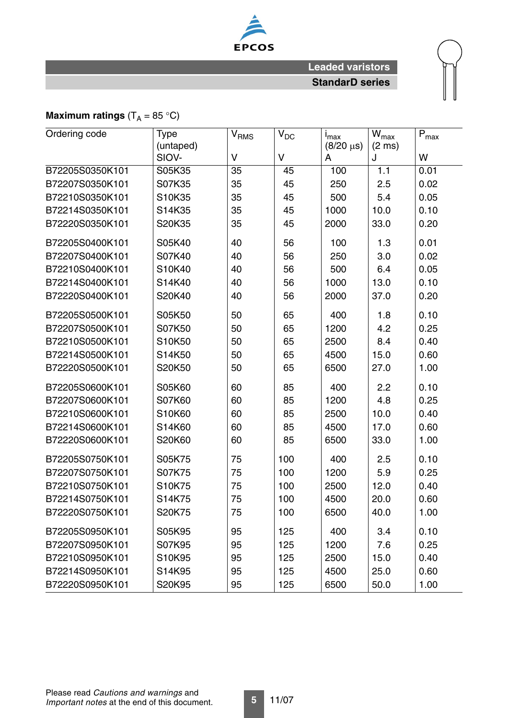

# **Maximum ratings**  $(T_A = 85 \text{ °C})$

| Ordering code   | <b>Type</b><br>$V_{DC}$<br>V <sub>RMS</sub><br>(untaped) |                 | $I_{\text{max}}$<br>$(8/20 \,\mu s)$ | $W_{max}$<br>$(2 \text{ ms})$ | $\mathsf{P}_{\text{max}}$ |      |
|-----------------|----------------------------------------------------------|-----------------|--------------------------------------|-------------------------------|---------------------------|------|
|                 | SIOV-                                                    | $\vee$          | V                                    | A                             | J                         | W    |
| B72205S0350K101 | S05K35                                                   | $\overline{35}$ | 45                                   | 100                           | 1.1                       | 0.01 |
| B72207S0350K101 | S07K35                                                   | 35              | 45                                   | 250                           | 2.5                       | 0.02 |
| B72210S0350K101 | S10K35                                                   | 35              | 45                                   | 500                           | 5.4                       | 0.05 |
| B72214S0350K101 | S14K35                                                   | 35              | 45                                   | 1000                          | 10.0                      | 0.10 |
| B72220S0350K101 | S20K35                                                   | 35              | 45                                   | 2000                          | 33.0                      | 0.20 |
| B72205S0400K101 | S05K40                                                   | 40              | 56                                   | 100                           | 1.3                       | 0.01 |
| B72207S0400K101 | S07K40                                                   | 40              | 56                                   | 250                           | 3.0                       | 0.02 |
| B72210S0400K101 | S10K40                                                   | 40              | 56                                   | 500                           | 6.4                       | 0.05 |
| B72214S0400K101 | S14K40                                                   | 40              | 56                                   | 1000                          | 13.0                      | 0.10 |
| B72220S0400K101 | S20K40                                                   | 40              | 56                                   | 2000                          | 37.0                      | 0.20 |
| B72205S0500K101 | S05K50                                                   | 50              | 65                                   | 400                           | 1.8                       | 0.10 |
| B72207S0500K101 | S07K50                                                   | 50              | 65                                   | 1200                          | 4.2                       | 0.25 |
| B72210S0500K101 | S10K50                                                   | 50              | 65                                   | 2500                          | 8.4                       | 0.40 |
| B72214S0500K101 | S14K50                                                   | 50              | 65                                   | 4500                          | 15.0                      | 0.60 |
| B72220S0500K101 | S20K50                                                   | 50              | 65                                   | 6500                          | 27.0                      | 1.00 |
| B72205S0600K101 | S05K60                                                   | 60              | 85                                   | 400                           | 2.2                       | 0.10 |
| B72207S0600K101 | S07K60                                                   | 60              | 85                                   | 1200                          | 4.8                       | 0.25 |
| B72210S0600K101 | S10K60                                                   | 60              | 85                                   | 2500                          | 10.0                      | 0.40 |
| B72214S0600K101 | S14K60                                                   | 60              | 85                                   | 4500                          | 17.0                      | 0.60 |
| B72220S0600K101 | S20K60                                                   | 60              | 85                                   | 6500                          | 33.0                      | 1.00 |
| B72205S0750K101 | S05K75                                                   | 75              | 100                                  | 400                           | 2.5                       | 0.10 |
| B72207S0750K101 | S07K75                                                   | 75              | 100                                  | 1200                          | 5.9                       | 0.25 |
| B72210S0750K101 | S10K75                                                   | 75              | 100                                  | 2500                          | 12.0                      | 0.40 |
| B72214S0750K101 | S14K75                                                   | 75              | 100                                  | 4500                          | 20.0                      | 0.60 |
| B72220S0750K101 | S20K75                                                   | 75              | 100                                  | 6500                          | 40.0                      | 1.00 |
| B72205S0950K101 | S05K95                                                   | 95              | 125                                  | 400                           | 3.4                       | 0.10 |
| B72207S0950K101 | S07K95                                                   | 95              | 125                                  | 1200                          | 7.6                       | 0.25 |
| B72210S0950K101 | S10K95                                                   | 95              | 125                                  | 2500                          | 15.0                      | 0.40 |
| B72214S0950K101 | S14K95                                                   | 95              | 125                                  | 4500                          | 25.0                      | 0.60 |
| B72220S0950K101 | S20K95                                                   | 95              | 125                                  | 6500                          | 50.0                      | 1.00 |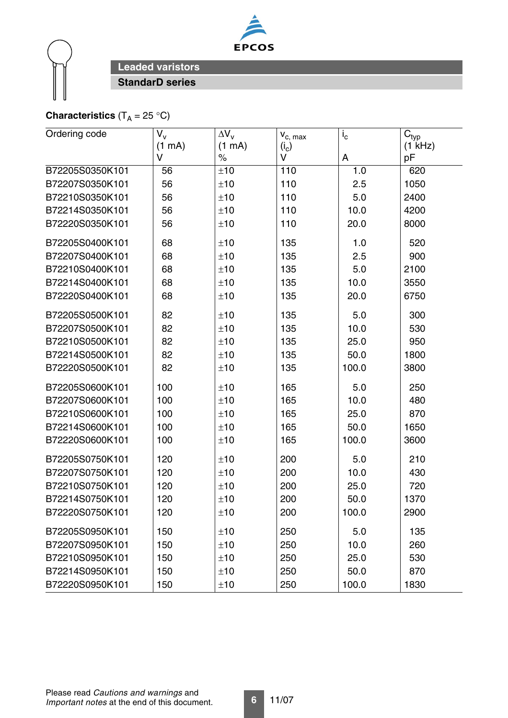



# **Characteristics**  $(T_A = 25 \text{ }^{\circ}\text{C})$

| Ordering code   | $V_{v}$ | $\Delta V_{\rm v}$ | $V_{c, max}$ | $i_{\rm c}$ | $\mathsf{C}_{\mathsf{typ}}$ |
|-----------------|---------|--------------------|--------------|-------------|-----------------------------|
|                 | (1 mA)  | (1 mA)             | $(i_c)$      |             | (1 kHz)                     |
|                 | V       | $\%$               | V            | A           | pF                          |
| B72205S0350K101 | 56      | ±10                | 110          | 1.0         | 620                         |
| B72207S0350K101 | 56      | ±10                | 110          | 2.5         | 1050                        |
| B72210S0350K101 | 56      | ±10                | 110          | 5.0         | 2400                        |
| B72214S0350K101 | 56      | ±10                | 110          | 10.0        | 4200                        |
| B72220S0350K101 | 56      | ±10                | 110          | 20.0        | 8000                        |
| B72205S0400K101 | 68      | ±10                | 135          | 1.0         | 520                         |
| B72207S0400K101 | 68      | ±10                | 135          | 2.5         | 900                         |
| B72210S0400K101 | 68      | ±10                | 135          | 5.0         | 2100                        |
| B72214S0400K101 | 68      | ±10                | 135          | 10.0        | 3550                        |
| B72220S0400K101 | 68      | ±10                | 135          | 20.0        | 6750                        |
| B72205S0500K101 | 82      | ±10                | 135          | 5.0         | 300                         |
| B72207S0500K101 | 82      | ±10                | 135          | 10.0        | 530                         |
| B72210S0500K101 | 82      | ±10                | 135          | 25.0        | 950                         |
| B72214S0500K101 | 82      | ±10                | 135          | 50.0        | 1800                        |
| B72220S0500K101 | 82      | ±10                | 135          | 100.0       | 3800                        |
| B72205S0600K101 | 100     | ±10                | 165          | 5.0         | 250                         |
| B72207S0600K101 | 100     | ±10                | 165          | 10.0        | 480                         |
| B72210S0600K101 | 100     | ±10                | 165          | 25.0        | 870                         |
| B72214S0600K101 | 100     | ±10                | 165          | 50.0        | 1650                        |
| B72220S0600K101 | 100     | ±10                | 165          | 100.0       | 3600                        |
| B72205S0750K101 | 120     | ±10                | 200          | 5.0         | 210                         |
| B72207S0750K101 | 120     | ±10                | 200          | 10.0        | 430                         |
| B72210S0750K101 | 120     | ±10                | 200          | 25.0        | 720                         |
| B72214S0750K101 | 120     | ±10                | 200          | 50.0        | 1370                        |
| B72220S0750K101 | 120     | ±10                | 200          | 100.0       | 2900                        |
| B72205S0950K101 | 150     | ±10                | 250          | 5.0         | 135                         |
| B72207S0950K101 | 150     | ±10                | 250          | 10.0        | 260                         |
| B72210S0950K101 | 150     | ±10                | 250          | 25.0        | 530                         |
| B72214S0950K101 | 150     | ±10                | 250          | 50.0        | 870                         |
| B72220S0950K101 | 150     | ±10                | 250          | 100.0       | 1830                        |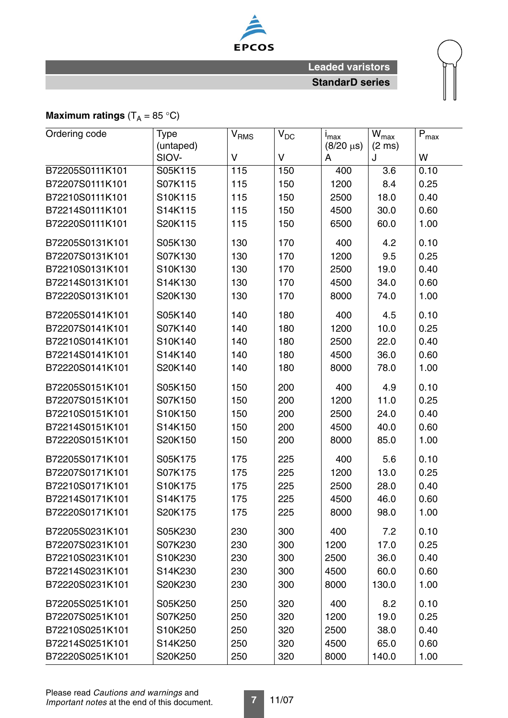

# **Maximum ratings**  $(T_A = 85 \text{ °C})$

| Ordering code   | <b>Type</b><br>(untaped) | <b>V<sub>RMS</sub></b> | $V_{DC}$ | $I_{\text{max}}$<br>$(8/20 \,\mu s)$ | $W_{\text{max}}$<br>$(2 \text{ ms})$ | $P_{max}$ |
|-----------------|--------------------------|------------------------|----------|--------------------------------------|--------------------------------------|-----------|
|                 | SIOV-                    | V                      | V        | A                                    | J                                    | W         |
| B72205S0111K101 | S05K115                  | 115                    | 150      | 400                                  | $\overline{3.6}$                     | 0.10      |
| B72207S0111K101 | S07K115                  | 115                    | 150      | 1200                                 | 8.4                                  | 0.25      |
| B72210S0111K101 | S10K115                  | 115                    | 150      | 2500                                 | 18.0                                 | 0.40      |
| B72214S0111K101 | S14K115                  | 115                    | 150      | 4500                                 | 30.0                                 | 0.60      |
| B72220S0111K101 | S20K115                  | 115                    | 150      | 6500                                 | 60.0                                 | 1.00      |
| B72205S0131K101 | S05K130                  | 130                    | 170      | 400                                  | 4.2                                  | 0.10      |
| B72207S0131K101 | S07K130                  | 130                    | 170      | 1200                                 | 9.5                                  | 0.25      |
| B72210S0131K101 | S10K130                  | 130                    | 170      | 2500                                 | 19.0                                 | 0.40      |
| B72214S0131K101 | S14K130                  | 130                    | 170      | 4500                                 | 34.0                                 | 0.60      |
| B72220S0131K101 | S20K130                  | 130                    | 170      | 8000                                 | 74.0                                 | 1.00      |
| B72205S0141K101 | S05K140                  | 140                    | 180      | 400                                  | 4.5                                  | 0.10      |
| B72207S0141K101 | S07K140                  | 140                    | 180      | 1200                                 | 10.0                                 | 0.25      |
| B72210S0141K101 | S10K140                  | 140                    | 180      | 2500                                 | 22.0                                 | 0.40      |
| B72214S0141K101 | S14K140                  | 140                    | 180      | 4500                                 | 36.0                                 | 0.60      |
| B72220S0141K101 | S20K140                  | 140                    | 180      | 8000                                 | 78.0                                 | 1.00      |
| B72205S0151K101 | S05K150                  | 150                    | 200      | 400                                  | 4.9                                  | 0.10      |
| B72207S0151K101 | S07K150                  | 150                    | 200      | 1200                                 | 11.0                                 | 0.25      |
| B72210S0151K101 | S10K150                  | 150                    | 200      | 2500                                 | 24.0                                 | 0.40      |
| B72214S0151K101 | S14K150                  | 150                    | 200      | 4500                                 | 40.0                                 | 0.60      |
| B72220S0151K101 | S20K150                  | 150                    | 200      | 8000                                 | 85.0                                 | 1.00      |
| B72205S0171K101 | S05K175                  | 175                    | 225      | 400                                  | 5.6                                  | 0.10      |
| B72207S0171K101 | S07K175                  | 175                    | 225      | 1200                                 | 13.0                                 | 0.25      |
| B72210S0171K101 | S10K175                  | 175                    | 225      | 2500                                 | 28.0                                 | 0.40      |
| B72214S0171K101 | S14K175                  | 175                    | 225      | 4500                                 | 46.0                                 | 0.60      |
| B72220S0171K101 | S20K175                  | 175                    | 225      | 8000                                 | 98.0                                 | 1.00      |
| B72205S0231K101 | S05K230                  | 230                    | 300      | 400                                  | 7.2                                  | 0.10      |
| B72207S0231K101 | S07K230                  | 230                    | 300      | 1200                                 | 17.0                                 | 0.25      |
| B72210S0231K101 | S10K230                  | 230                    | 300      | 2500                                 | 36.0                                 | 0.40      |
| B72214S0231K101 | S14K230                  | 230                    | 300      | 4500                                 | 60.0                                 | 0.60      |
| B72220S0231K101 | S20K230                  | 230                    | 300      | 8000                                 | 130.0                                | 1.00      |
| B72205S0251K101 | S05K250                  | 250                    | 320      | 400                                  | 8.2                                  | 0.10      |
| B72207S0251K101 | S07K250                  | 250                    | 320      | 1200                                 | 19.0                                 | 0.25      |
| B72210S0251K101 | S10K250                  | 250                    | 320      | 2500                                 | 38.0                                 | 0.40      |
| B72214S0251K101 | S14K250                  | 250                    | 320      | 4500                                 | 65.0                                 | 0.60      |
| B72220S0251K101 | S20K250                  | 250                    | 320      | 8000                                 | 140.0                                | 1.00      |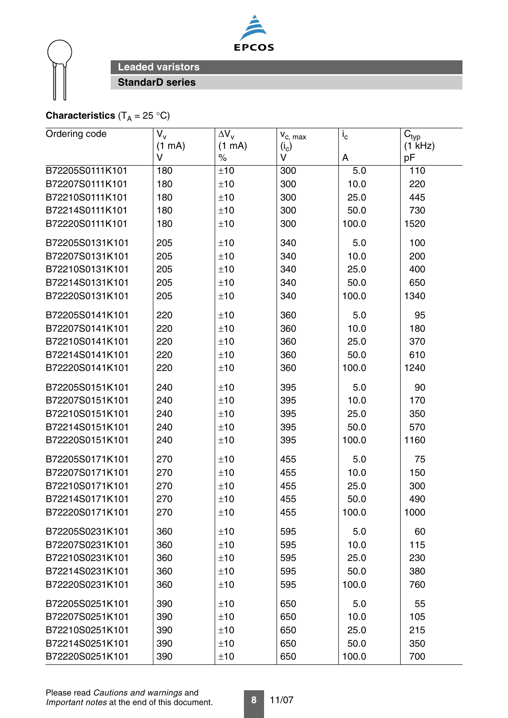



# **Characteristics**  $(T_A = 25 \text{ }^{\circ}C)$

| Ordering code   | $V_{V}$ | $\Delta V_{\rm v}$ |                         | $i_{\rm c}$ |                                        |
|-----------------|---------|--------------------|-------------------------|-------------|----------------------------------------|
|                 | (1 mA)  | (1 mA)             | $V_{c, max}$<br>$(i_c)$ |             | $\mathsf{C}_{\mathsf{typ}}$<br>(1 kHz) |
|                 | V       | $\%$               | V                       | A           | pF                                     |
| B72205S0111K101 | 180     | ±10                | 300                     | 5.0         | 110                                    |
| B72207S0111K101 | 180     | ±10                | 300                     | 10.0        | 220                                    |
| B72210S0111K101 | 180     | ±10                | 300                     | 25.0        | 445                                    |
| B72214S0111K101 | 180     | ±10                | 300                     | 50.0        | 730                                    |
| B72220S0111K101 | 180     | ±10                | 300                     | 100.0       | 1520                                   |
| B72205S0131K101 | 205     | ±10                | 340                     | 5.0         | 100                                    |
| B72207S0131K101 | 205     | ±10                | 340                     | 10.0        | 200                                    |
| B72210S0131K101 | 205     | ±10                | 340                     | 25.0        | 400                                    |
| B72214S0131K101 | 205     | ±10                | 340                     | 50.0        | 650                                    |
| B72220S0131K101 | 205     | ±10                | 340                     | 100.0       | 1340                                   |
| B72205S0141K101 | 220     | ±10                | 360                     | 5.0         | 95                                     |
| B72207S0141K101 | 220     | ±10                | 360                     | 10.0        | 180                                    |
| B72210S0141K101 | 220     | ±10                | 360                     | 25.0        | 370                                    |
| B72214S0141K101 | 220     | ±10                | 360                     | 50.0        | 610                                    |
| B72220S0141K101 | 220     | ±10                | 360                     | 100.0       | 1240                                   |
| B72205S0151K101 | 240     | ±10                | 395                     | 5.0         | 90                                     |
| B72207S0151K101 | 240     | ±10                | 395                     | 10.0        | 170                                    |
| B72210S0151K101 | 240     | ±10                | 395                     | 25.0        | 350                                    |
| B72214S0151K101 | 240     | ±10                | 395                     | 50.0        | 570                                    |
| B72220S0151K101 | 240     | ±10                | 395                     | 100.0       | 1160                                   |
| B72205S0171K101 | 270     | ±10                | 455                     | 5.0         | 75                                     |
| B72207S0171K101 | 270     | ±10                | 455                     | 10.0        | 150                                    |
| B72210S0171K101 | 270     | ±10                | 455                     | 25.0        | 300                                    |
| B72214S0171K101 | 270     | ±10                | 455                     | 50.0        | 490                                    |
| B72220S0171K101 | 270     | ±10                | 455                     | 100.0       | 1000                                   |
| B72205S0231K101 | 360     | ±10                | 595                     | 5.0         | 60                                     |
| B72207S0231K101 | 360     | ±10                | 595                     | 10.0        | 115                                    |
| B72210S0231K101 | 360     | ±10                | 595                     | 25.0        | 230                                    |
| B72214S0231K101 | 360     | ±10                | 595                     | 50.0        | 380                                    |
| B72220S0231K101 | 360     | ±10                | 595                     | 100.0       | 760                                    |
| B72205S0251K101 | 390     | ±10                | 650                     | 5.0         | 55                                     |
| B72207S0251K101 | 390     | ±10                | 650                     | 10.0        | 105                                    |
| B72210S0251K101 | 390     | ±10                | 650                     | 25.0        | 215                                    |
| B72214S0251K101 | 390     | ±10                | 650                     | 50.0        | 350                                    |
| B72220S0251K101 | 390     | ±10                | 650                     | 100.0       | 700                                    |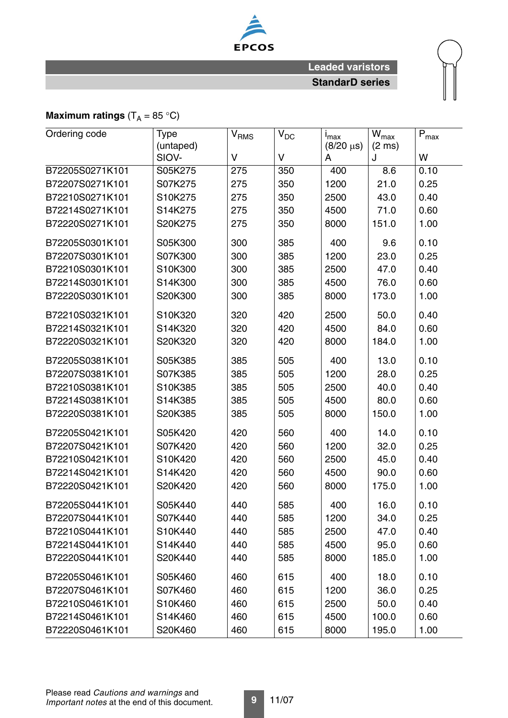

# **Maximum ratings**  $(T_A = 85 \text{ °C})$

| Ordering code   | <b>Type</b><br>(untaped) | $\mathsf{V}_{\mathsf{RMS}}$ | $V_{DC}$ | i <sub>max</sub><br>$(8/20 \,\mu s)$ | $\bar{W}_{max}$<br>$(2 \text{ ms})$ | $P_{max}$ |
|-----------------|--------------------------|-----------------------------|----------|--------------------------------------|-------------------------------------|-----------|
|                 | SIOV-                    | $\vee$                      | $\vee$   | A                                    | J                                   | W         |
| B72205S0271K101 | S05K275                  | 275                         | 350      | 400                                  | 8.6                                 | 0.10      |
| B72207S0271K101 | S07K275                  | 275                         | 350      | 1200                                 | 21.0                                | 0.25      |
| B72210S0271K101 | S10K275                  | 275                         | 350      | 2500                                 | 43.0                                | 0.40      |
| B72214S0271K101 | S14K275                  | 275                         | 350      | 4500                                 | 71.0                                | 0.60      |
| B72220S0271K101 | S20K275                  | 275                         | 350      | 8000                                 | 151.0                               | 1.00      |
| B72205S0301K101 | S05K300                  | 300                         | 385      | 400                                  | 9.6                                 | 0.10      |
| B72207S0301K101 | S07K300                  | 300                         | 385      | 1200                                 | 23.0                                | 0.25      |
| B72210S0301K101 | S10K300                  | 300                         | 385      | 2500                                 | 47.0                                | 0.40      |
| B72214S0301K101 | S14K300                  | 300                         | 385      | 4500                                 | 76.0                                | 0.60      |
| B72220S0301K101 | S20K300                  | 300                         | 385      | 8000                                 | 173.0                               | 1.00      |
| B72210S0321K101 | S10K320                  | 320                         | 420      | 2500                                 | 50.0                                | 0.40      |
| B72214S0321K101 | S14K320                  | 320                         | 420      | 4500                                 | 84.0                                | 0.60      |
| B72220S0321K101 | S20K320                  | 320                         | 420      | 8000                                 | 184.0                               | 1.00      |
| B72205S0381K101 | S05K385                  | 385                         | 505      | 400                                  | 13.0                                | 0.10      |
| B72207S0381K101 | S07K385                  | 385                         | 505      | 1200                                 | 28.0                                | 0.25      |
| B72210S0381K101 | S10K385                  | 385                         | 505      | 2500                                 | 40.0                                | 0.40      |
| B72214S0381K101 | S14K385                  | 385                         | 505      | 4500                                 | 80.0                                | 0.60      |
| B72220S0381K101 | S20K385                  | 385                         | 505      | 8000                                 | 150.0                               | 1.00      |
| B72205S0421K101 | S05K420                  | 420                         | 560      | 400                                  | 14.0                                | 0.10      |
| B72207S0421K101 | S07K420                  | 420                         | 560      | 1200                                 | 32.0                                | 0.25      |
| B72210S0421K101 | S10K420                  | 420                         | 560      | 2500                                 | 45.0                                | 0.40      |
| B72214S0421K101 | S14K420                  | 420                         | 560      | 4500                                 | 90.0                                | 0.60      |
| B72220S0421K101 | S20K420                  | 420                         | 560      | 8000                                 | 175.0                               | 1.00      |
| B72205S0441K101 | S05K440                  | 440                         | 585      | 400                                  | 16.0                                | 0.10      |
| B72207S0441K101 | S07K440                  | 440                         | 585      | 1200                                 | 34.0                                | 0.25      |
| B72210S0441K101 | S10K440                  | 440                         | 585      | 2500                                 | 47.0                                | 0.40      |
| B72214S0441K101 | S14K440                  | 440                         | 585      | 4500                                 | 95.0                                | 0.60      |
| B72220S0441K101 | S20K440                  | 440                         | 585      | 8000                                 | 185.0                               | 1.00      |
| B72205S0461K101 | S05K460                  | 460                         | 615      | 400                                  | 18.0                                | 0.10      |
| B72207S0461K101 | S07K460                  | 460                         | 615      | 1200                                 | 36.0                                | 0.25      |
| B72210S0461K101 | S10K460                  | 460                         | 615      | 2500                                 | 50.0                                | 0.40      |
| B72214S0461K101 | S14K460                  | 460                         | 615      | 4500                                 | 100.0                               | 0.60      |
| B72220S0461K101 | S20K460                  | 460                         | 615      | 8000                                 | 195.0                               | 1.00      |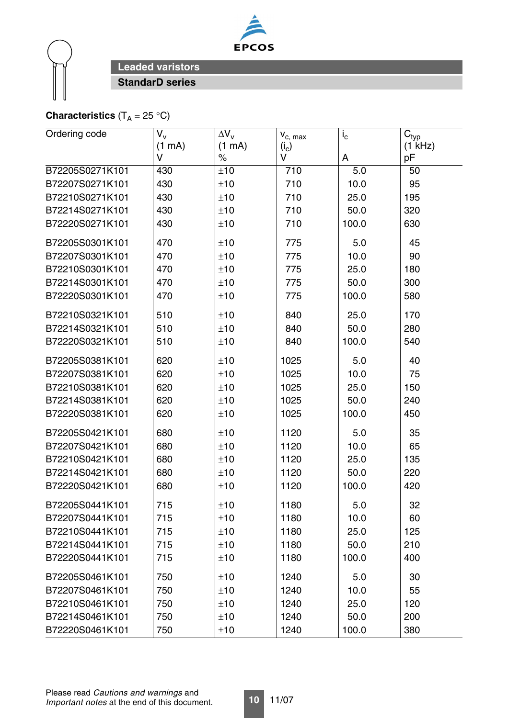



# **Characteristics**  $(T_A = 25 \text{ }^{\circ}C)$

| Ordering code   | $V_{v}$ | $\Delta V_v$ | $\mathsf{v}_{\mathsf{c},\; \mathsf{max}}$ | $i_{\rm c}$ | $C_{typ}$ |
|-----------------|---------|--------------|-------------------------------------------|-------------|-----------|
|                 | (1 mA)  | (1 mA)       | $(i_c)$                                   |             | (1 kHz)   |
|                 | V       | $\%$         | V                                         | A           | pF        |
| B72205S0271K101 | 430     | ±10          | 710                                       | 5.0         | 50        |
| B72207S0271K101 | 430     | ±10          | 710                                       | 10.0        | 95        |
| B72210S0271K101 | 430     | ±10          | 710                                       | 25.0        | 195       |
| B72214S0271K101 | 430     | ±10          | 710                                       | 50.0        | 320       |
| B72220S0271K101 | 430     | ±10          | 710                                       | 100.0       | 630       |
| B72205S0301K101 | 470     | ±10          | 775                                       | 5.0         | 45        |
| B72207S0301K101 | 470     | ±10          | 775                                       | 10.0        | 90        |
| B72210S0301K101 | 470     | ±10          | 775                                       | 25.0        | 180       |
| B72214S0301K101 | 470     | ±10          | 775                                       | 50.0        | 300       |
| B72220S0301K101 | 470     | ±10          | 775                                       | 100.0       | 580       |
| B72210S0321K101 | 510     | ±10          | 840                                       | 25.0        | 170       |
| B72214S0321K101 | 510     | ±10          | 840                                       | 50.0        | 280       |
| B72220S0321K101 | 510     | ±10          | 840                                       | 100.0       | 540       |
| B72205S0381K101 | 620     | ±10          | 1025                                      | 5.0         | 40        |
| B72207S0381K101 | 620     | ±10          | 1025                                      | 10.0        | 75        |
| B72210S0381K101 | 620     | ±10          | 1025                                      | 25.0        | 150       |
| B72214S0381K101 | 620     | ±10          | 1025                                      | 50.0        | 240       |
| B72220S0381K101 | 620     | ±10          | 1025                                      | 100.0       | 450       |
| B72205S0421K101 | 680     | ±10          | 1120                                      | 5.0         | 35        |
| B72207S0421K101 | 680     | ±10          | 1120                                      | 10.0        | 65        |
| B72210S0421K101 | 680     | ±10          | 1120                                      | 25.0        | 135       |
| B72214S0421K101 | 680     | ±10          | 1120                                      | 50.0        | 220       |
| B72220S0421K101 | 680     | ±10          | 1120                                      | 100.0       | 420       |
| B72205S0441K101 | 715     | ±10          | 1180                                      | 5.0         | 32        |
| B72207S0441K101 | 715     | ±10          | 1180                                      | 10.0        | 60        |
| B72210S0441K101 | 715     | ±10          | 1180                                      | 25.0        | 125       |
| B72214S0441K101 | 715     | ±10          | 1180                                      | 50.0        | 210       |
| B72220S0441K101 | 715     | ±10          | 1180                                      | 100.0       | 400       |
| B72205S0461K101 | 750     | ±10          | 1240                                      | 5.0         | 30        |
| B72207S0461K101 | 750     | ±10          | 1240                                      | 10.0        | 55        |
| B72210S0461K101 | 750     | ±10          | 1240                                      | 25.0        | 120       |
| B72214S0461K101 | 750     | ±10          | 1240                                      | 50.0        | 200       |
| B72220S0461K101 | 750     | ±10          | 1240                                      | 100.0       | 380       |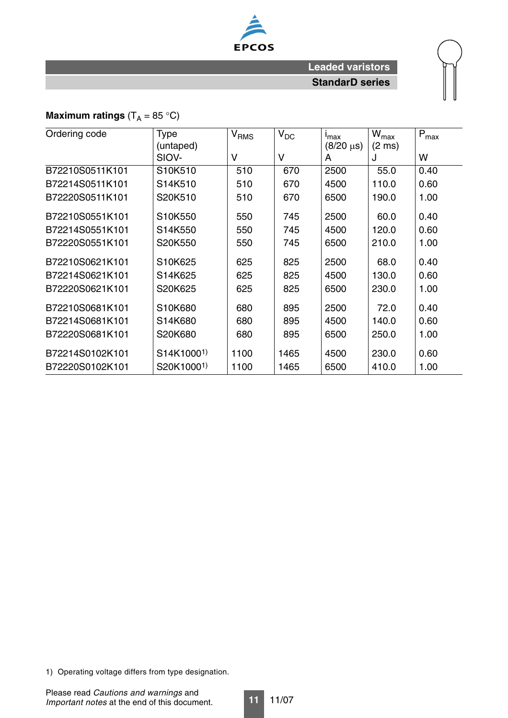

# **Maximum ratings**  $(T_A = 85 \degree C)$

| Ordering code   | <b>Type</b>            | V <sub>RMS</sub> | $V_{DC}$ | $I_{\text{max}}$ | $W_{\text{max}}$ | $P_{\text{max}}$ |
|-----------------|------------------------|------------------|----------|------------------|------------------|------------------|
|                 | (untaped)              |                  |          | $(8/20 \,\mu s)$ | $(2 \text{ ms})$ |                  |
|                 | SIOV-                  | $\vee$           | $\vee$   | A                | J                | W                |
| B72210S0511K101 | S10K510                | 510              | 670      | 2500             | 55.0             | 0.40             |
| B72214S0511K101 | S14K510                | 510              | 670      | 4500             | 110.0            | 0.60             |
| B72220S0511K101 | S20K510                | 510              | 670      | 6500             | 190.0            | 1.00             |
| B72210S0551K101 | S10K550                | 550              | 745      | 2500             | 60.0             | 0.40             |
| B72214S0551K101 | S14K550                | 550              | 745      | 4500             | 120.0            | 0.60             |
| B72220S0551K101 | S20K550                | 550              | 745      | 6500             | 210.0            | 1.00             |
| B72210S0621K101 | S10K625                | 625              | 825      | 2500             | 68.0             | 0.40             |
| B72214S0621K101 | S14K625                | 625              | 825      | 4500             | 130.0            | 0.60             |
| B72220S0621K101 | S20K625                | 625              | 825      | 6500             | 230.0            | 1.00             |
| B72210S0681K101 | S10K680                | 680              | 895      | 2500             | 72.0             | 0.40             |
| B72214S0681K101 | S14K680                | 680              | 895      | 4500             | 140.0            | 0.60             |
| B72220S0681K101 | S20K680                | 680              | 895      | 6500             | 250.0            | 1.00             |
| B72214S0102K101 | S14K1000 <sup>1)</sup> | 1100             | 1465     | 4500             | 230.0            | 0.60             |
| B72220S0102K101 | S20K10001)             | 1100             | 1465     | 6500             | 410.0            | 1.00             |

1) Operating voltage differs from type designation.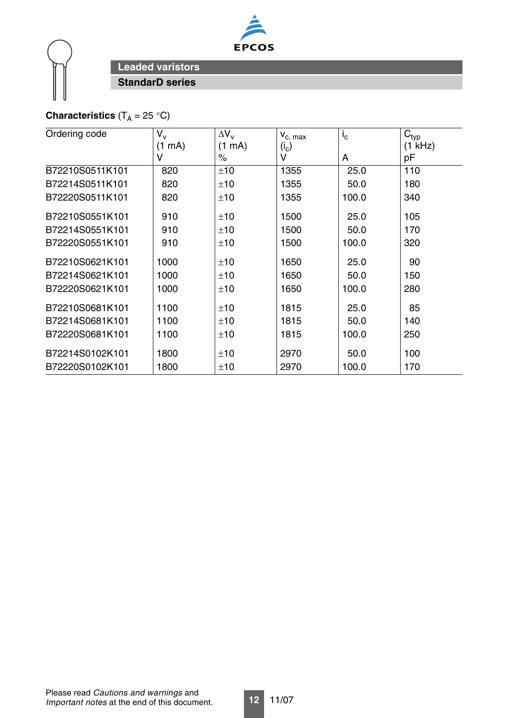



# **Characteristics**  $(T_A = 25 \text{ }^{\circ}\text{C})$

| Ordering code   | $V_{V}$          | $\Delta V_v$     | $V_{C, max}$ | $i_{\rm c}$ | $C_{typ}$ |
|-----------------|------------------|------------------|--------------|-------------|-----------|
|                 | $(1 \text{ mA})$ | $(1 \text{ mA})$ | $(i_c)$      |             | (1 kHz)   |
|                 | V                | $\%$             | v            | A           | рF        |
| B72210S0511K101 | 820              | ±10              | 1355         | 25.0        | 110       |
| B72214S0511K101 | 820              | ±10              | 1355         | 50.0        | 180       |
| B72220S0511K101 | 820              | ±10              | 1355         | 100.0       | 340       |
| B72210S0551K101 | 910              | ±10              | 1500         | 25.0        | 105       |
| B72214S0551K101 | 910              | ±10              | 1500         | 50.0        | 170       |
| B72220S0551K101 | 910              | ±10              | 1500         | 100.0       | 320       |
| B72210S0621K101 | 1000             | ±10              | 1650         | 25.0        | 90        |
| B72214S0621K101 | 1000             | ±10              | 1650         | 50.0        | 150       |
| B72220S0621K101 | 1000             | ±10              | 1650         | 100.0       | 280       |
| B72210S0681K101 | 1100             | ±10              | 1815         | 25.0        | 85        |
| B72214S0681K101 | 1100             | ±10              | 1815         | 50.0        | 140       |
| B72220S0681K101 | 1100             | ±10              | 1815         | 100.0       | 250       |
| B72214S0102K101 | 1800             | ±10              | 2970         | 50.0        | 100       |
| B72220S0102K101 | 1800             | ±10              | 2970         | 100.0       | 170       |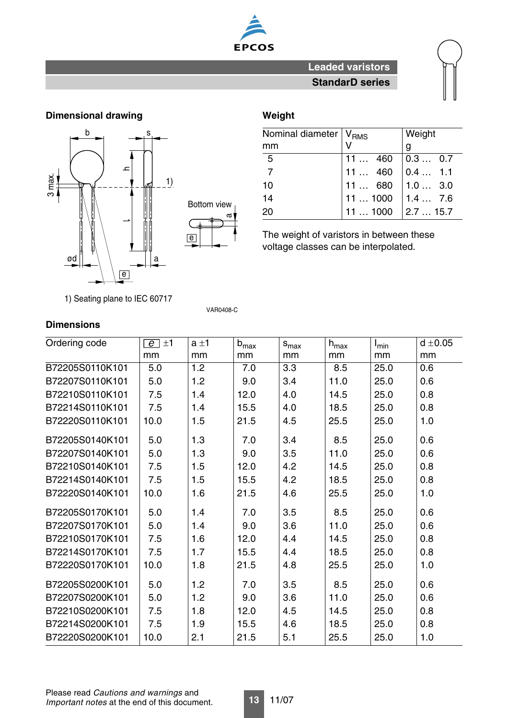

# **Dimensional drawing Weight Communist Communist Communist Communist Communist Communist Communist Communist Communist Communist Communist Communist Communist Communist Communist Communist Communist Communist Communist Comm**



| Nominal diameter   V <sub>RMS</sub> |         | Weight   |
|-------------------------------------|---------|----------|
| mm                                  |         | g        |
| 5                                   | 11460   | 0.3  0.7 |
|                                     | 11  460 | 0.4 1.1  |
| 10                                  | 11  680 | 1.03.0   |
| 14                                  | 111000  | 1.47.6   |
| 20                                  | 111000  | 2.715.7  |

The weight of varistors in between these voltage classes can be interpolated.

1) Seating plane to IEC 60717

VAR0408-C

| Ordering code   | $\overline{e}$ ±1 | $a \pm 1$ | $b_{max}$ | $\mathsf{s}_{\text{max}}$ | $h_{max}$ | $I_{min}$ | $d \pm 0.05$ |
|-----------------|-------------------|-----------|-----------|---------------------------|-----------|-----------|--------------|
|                 | mm                | mm        | mm        | mm                        | mm        | mm        | mm           |
| B72205S0110K101 | 5.0               | 1.2       | 7.0       | 3.3                       | 8.5       | 25.0      | 0.6          |
| B72207S0110K101 | 5.0               | 1.2       | 9.0       | 3.4                       | 11.0      | 25.0      | 0.6          |
| B72210S0110K101 | 7.5               | 1.4       | 12.0      | 4.0                       | 14.5      | 25.0      | 0.8          |
| B72214S0110K101 | 7.5               | 1.4       | 15.5      | 4.0                       | 18.5      | 25.0      | 0.8          |
| B72220S0110K101 | 10.0              | 1.5       | 21.5      | 4.5                       | 25.5      | 25.0      | 1.0          |
| B72205S0140K101 | 5.0               | 1.3       | 7.0       | 3.4                       | 8.5       | 25.0      | 0.6          |
| B72207S0140K101 | 5.0               | 1.3       | 9.0       | 3.5                       | 11.0      | 25.0      | 0.6          |
| B72210S0140K101 | 7.5               | 1.5       | 12.0      | 4.2                       | 14.5      | 25.0      | 0.8          |
| B72214S0140K101 | 7.5               | 1.5       | 15.5      | 4.2                       | 18.5      | 25.0      | 0.8          |
| B72220S0140K101 | 10.0              | 1.6       | 21.5      | 4.6                       | 25.5      | 25.0      | 1.0          |
| B72205S0170K101 | 5.0               | 1.4       | 7.0       | 3.5                       | 8.5       | 25.0      | 0.6          |
| B72207S0170K101 | 5.0               | 1.4       | 9.0       | 3.6                       | 11.0      | 25.0      | 0.6          |
| B72210S0170K101 | 7.5               | 1.6       | 12.0      | 4.4                       | 14.5      | 25.0      | 0.8          |
| B72214S0170K101 | 7.5               | 1.7       | 15.5      | 4.4                       | 18.5      | 25.0      | 0.8          |
| B72220S0170K101 | 10.0              | 1.8       | 21.5      | 4.8                       | 25.5      | 25.0      | 1.0          |
| B72205S0200K101 | 5.0               | 1.2       | 7.0       | 3.5                       | 8.5       | 25.0      | 0.6          |
| B72207S0200K101 | 5.0               | 1.2       | 9.0       | 3.6                       | 11.0      | 25.0      | 0.6          |
| B72210S0200K101 | 7.5               | 1.8       | 12.0      | 4.5                       | 14.5      | 25.0      | 0.8          |
| B72214S0200K101 | 7.5               | 1.9       | 15.5      | 4.6                       | 18.5      | 25.0      | 0.8          |
| B72220S0200K101 | 10.0              | 2.1       | 21.5      | 5.1                       | 25.5      | 25.0      | 1.0          |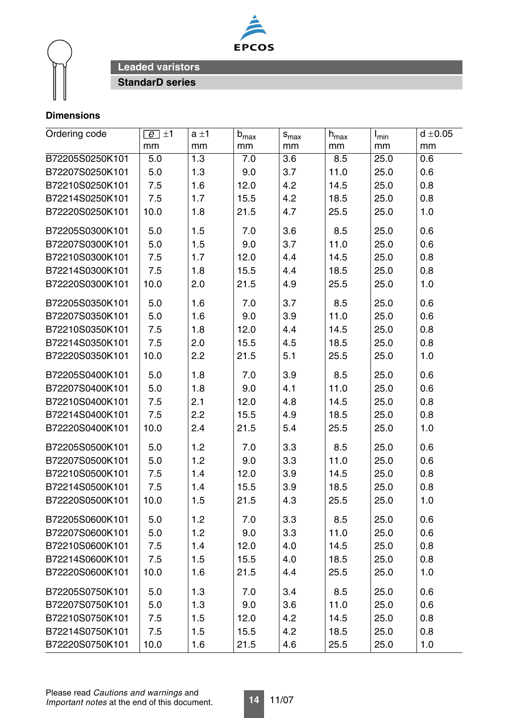



| Ordering code   | $\overline{e}$ ±1 | $a \pm 1$ | $b_{max}$ | $s_{max}$ | $\mathsf{h}_{\text{max}}$ | $I_{min}$ | $d \pm 0.05$ |
|-----------------|-------------------|-----------|-----------|-----------|---------------------------|-----------|--------------|
|                 | mm                | mm        | mm        | mm        | mm                        | mm        | mm           |
| B72205S0250K101 | 5.0               | 1.3       | 7.0       | 3.6       | 8.5                       | 25.0      | 0.6          |
| B72207S0250K101 | 5.0               | 1.3       | 9.0       | 3.7       | 11.0                      | 25.0      | 0.6          |
| B72210S0250K101 | 7.5               | 1.6       | 12.0      | 4.2       | 14.5                      | 25.0      | 0.8          |
| B72214S0250K101 | 7.5               | 1.7       | 15.5      | 4.2       | 18.5                      | 25.0      | 0.8          |
| B72220S0250K101 | 10.0              | 1.8       | 21.5      | 4.7       | 25.5                      | 25.0      | 1.0          |
| B72205S0300K101 | 5.0               | 1.5       | 7.0       | 3.6       | 8.5                       | 25.0      | 0.6          |
| B72207S0300K101 | 5.0               | 1.5       | 9.0       | 3.7       | 11.0                      | 25.0      | 0.6          |
| B72210S0300K101 | 7.5               | 1.7       | 12.0      | 4.4       | 14.5                      | 25.0      | 0.8          |
| B72214S0300K101 | 7.5               | 1.8       | 15.5      | 4.4       | 18.5                      | 25.0      | 0.8          |
| B72220S0300K101 | 10.0              | 2.0       | 21.5      | 4.9       | 25.5                      | 25.0      | 1.0          |
| B72205S0350K101 | 5.0               | 1.6       | 7.0       | 3.7       | 8.5                       | 25.0      | 0.6          |
| B72207S0350K101 | 5.0               | 1.6       | 9.0       | 3.9       | 11.0                      | 25.0      | 0.6          |
| B72210S0350K101 | 7.5               | 1.8       | 12.0      | 4.4       | 14.5                      | 25.0      | 0.8          |
| B72214S0350K101 | 7.5               | 2.0       | 15.5      | 4.5       | 18.5                      | 25.0      | 0.8          |
| B72220S0350K101 | 10.0              | 2.2       | 21.5      | 5.1       | 25.5                      | 25.0      | 1.0          |
| B72205S0400K101 | 5.0               | 1.8       | 7.0       | 3.9       | 8.5                       | 25.0      | 0.6          |
| B72207S0400K101 | 5.0               | 1.8       | 9.0       | 4.1       | 11.0                      | 25.0      | 0.6          |
| B72210S0400K101 | 7.5               | 2.1       | 12.0      | 4.8       | 14.5                      | 25.0      | 0.8          |
| B72214S0400K101 | 7.5               | 2.2       | 15.5      | 4.9       | 18.5                      | 25.0      | 0.8          |
| B72220S0400K101 | 10.0              | 2.4       | 21.5      | 5.4       | 25.5                      | 25.0      | 1.0          |
| B72205S0500K101 | 5.0               | 1.2       | 7.0       | 3.3       | 8.5                       | 25.0      | 0.6          |
| B72207S0500K101 | 5.0               | 1.2       | 9.0       | 3.3       | 11.0                      | 25.0      | 0.6          |
| B72210S0500K101 | 7.5               | 1.4       | 12.0      | 3.9       | 14.5                      | 25.0      | 0.8          |
| B72214S0500K101 | 7.5               | 1.4       | 15.5      | 3.9       | 18.5                      | 25.0      | 0.8          |
| B72220S0500K101 | 10.0              | 1.5       | 21.5      | 4.3       | 25.5                      | 25.0      | 1.0          |
| B72205S0600K101 | 5.0               | 1.2       | 7.0       | 3.3       | 8.5                       | 25.0      | 0.6          |
| B72207S0600K101 | 5.0               | 1.2       | 9.0       | 3.3       | 11.0                      | 25.0      | 0.6          |
| B72210S0600K101 | 7.5               | 1.4       | 12.0      | 4.0       | 14.5                      | 25.0      | 0.8          |
| B72214S0600K101 | 7.5               | 1.5       | 15.5      | 4.0       | 18.5                      | 25.0      | 0.8          |
| B72220S0600K101 | 10.0              | 1.6       | 21.5      | 4.4       | 25.5                      | 25.0      | 1.0          |
| B72205S0750K101 | 5.0               | 1.3       | 7.0       | 3.4       | 8.5                       | 25.0      | 0.6          |
| B72207S0750K101 | 5.0               | 1.3       | 9.0       | 3.6       | 11.0                      | 25.0      | 0.6          |
| B72210S0750K101 | 7.5               | 1.5       | 12.0      | 4.2       | 14.5                      | 25.0      | 0.8          |
| B72214S0750K101 | 7.5               | 1.5       | 15.5      | 4.2       | 18.5                      | 25.0      | 0.8          |
| B72220S0750K101 | 10.0              | 1.6       | 21.5      | 4.6       | 25.5                      | 25.0      | 1.0          |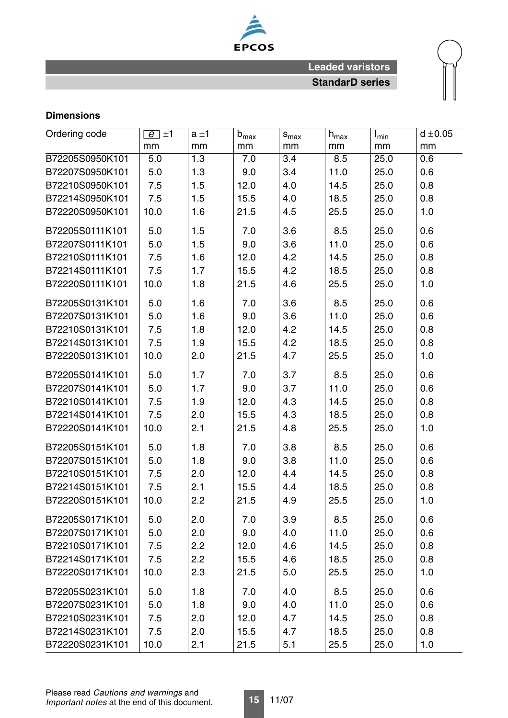

| Ordering code   | $\boxed{e}$ ±1 | $a \pm 1$ | $b_{max}$ | $S_{\text{max}}$ | $h_{\text{max}}$ | $I_{min}$ | $d \pm 0.05$ |
|-----------------|----------------|-----------|-----------|------------------|------------------|-----------|--------------|
|                 | mm             | mm        | mm        | mm               | mm               | mm        | mm           |
| B72205S0950K101 | 5.0            | 1.3       | 7.0       | 3.4              | 8.5              | 25.0      | 0.6          |
| B72207S0950K101 | 5.0            | 1.3       | 9.0       | 3.4              | 11.0             | 25.0      | 0.6          |
| B72210S0950K101 | 7.5            | 1.5       | 12.0      | 4.0              | 14.5             | 25.0      | 0.8          |
| B72214S0950K101 | 7.5            | 1.5       | 15.5      | 4.0              | 18.5             | 25.0      | 0.8          |
| B72220S0950K101 | 10.0           | 1.6       | 21.5      | 4.5              | 25.5             | 25.0      | 1.0          |
| B72205S0111K101 | 5.0            | 1.5       | 7.0       | 3.6              | 8.5              | 25.0      | 0.6          |
| B72207S0111K101 | 5.0            | 1.5       | 9.0       | 3.6              | 11.0             | 25.0      | 0.6          |
| B72210S0111K101 | 7.5            | 1.6       | 12.0      | 4.2              | 14.5             | 25.0      | 0.8          |
| B72214S0111K101 | 7.5            | 1.7       | 15.5      | 4.2              | 18.5             | 25.0      | 0.8          |
| B72220S0111K101 | 10.0           | 1.8       | 21.5      | 4.6              | 25.5             | 25.0      | 1.0          |
| B72205S0131K101 | 5.0            | 1.6       | 7.0       | 3.6              | 8.5              | 25.0      | 0.6          |
| B72207S0131K101 | 5.0            | 1.6       | 9.0       | 3.6              | 11.0             | 25.0      | 0.6          |
| B72210S0131K101 | 7.5            | 1.8       | 12.0      | 4.2              | 14.5             | 25.0      | 0.8          |
| B72214S0131K101 | 7.5            | 1.9       | 15.5      | 4.2              | 18.5             | 25.0      | 0.8          |
| B72220S0131K101 | 10.0           | 2.0       | 21.5      | 4.7              | 25.5             | 25.0      | 1.0          |
| B72205S0141K101 | 5.0            | 1.7       | 7.0       | 3.7              | 8.5              | 25.0      | 0.6          |
| B72207S0141K101 | 5.0            | 1.7       | 9.0       | 3.7              | 11.0             | 25.0      | 0.6          |
| B72210S0141K101 | 7.5            | 1.9       | 12.0      | 4.3              | 14.5             | 25.0      | 0.8          |
| B72214S0141K101 | 7.5            | 2.0       | 15.5      | 4.3              | 18.5             | 25.0      | 0.8          |
| B72220S0141K101 | 10.0           | 2.1       | 21.5      | 4.8              | 25.5             | 25.0      | 1.0          |
| B72205S0151K101 | 5.0            | 1.8       | 7.0       | 3.8              | 8.5              | 25.0      | 0.6          |
| B72207S0151K101 | 5.0            | 1.8       | 9.0       | 3.8              | 11.0             | 25.0      | 0.6          |
| B72210S0151K101 | 7.5            | 2.0       | 12.0      | 4.4              | 14.5             | 25.0      | 0.8          |
| B72214S0151K101 | 7.5            | 2.1       | 15.5      | 4.4              | 18.5             | 25.0      | 0.8          |
| B72220S0151K101 | 10.0           | 2.2       | 21.5      | 4.9              | 25.5             | 25.0      | 1.0          |
| B72205S0171K101 | 5.0            | 2.0       | 7.0       | 3.9              | 8.5              | 25.0      | 0.6          |
| B72207S0171K101 | 5.0            | 2.0       | 9.0       | 4.0              | 11.0             | 25.0      | 0.6          |
| B72210S0171K101 | 7.5            | 2.2       | 12.0      | 4.6              | 14.5             | 25.0      | 0.8          |
| B72214S0171K101 | 7.5            | 2.2       | 15.5      | 4.6              | 18.5             | 25.0      | 0.8          |
| B72220S0171K101 | 10.0           | 2.3       | 21.5      | 5.0              | 25.5             | 25.0      | 1.0          |
| B72205S0231K101 | 5.0            | 1.8       | 7.0       | 4.0              | 8.5              | 25.0      | 0.6          |
| B72207S0231K101 | 5.0            | 1.8       | 9.0       | 4.0              | 11.0             | 25.0      | 0.6          |
| B72210S0231K101 | 7.5            | 2.0       | 12.0      | 4.7              | 14.5             | 25.0      | 0.8          |
| B72214S0231K101 | 7.5            | 2.0       | 15.5      | 4.7              | 18.5             | 25.0      | 0.8          |
| B72220S0231K101 | 10.0           | 2.1       | 21.5      | 5.1              | 25.5             | 25.0      | 1.0          |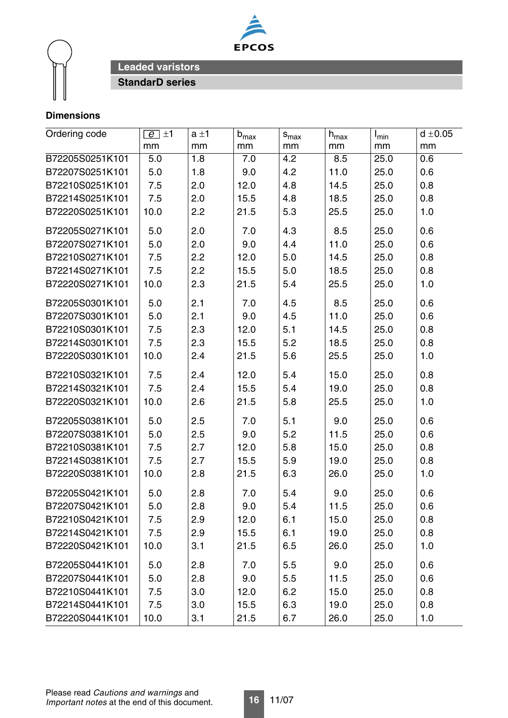



| Ordering code   | $\boxed{e}$ ±1 | $a \pm 1$ | $b_{\text{max}}$ | $s_{max}$ | $h_{\sf max}$ | $I_{\text{min}}$ | $d \pm 0.05$ |
|-----------------|----------------|-----------|------------------|-----------|---------------|------------------|--------------|
|                 | mm             | mm        | mm               | mm        | mm            | mm               | mm           |
| B72205S0251K101 | 5.0            | 1.8       | 7.0              | 4.2       | 8.5           | 25.0             | 0.6          |
| B72207S0251K101 | 5.0            | 1.8       | 9.0              | 4.2       | 11.0          | 25.0             | 0.6          |
| B72210S0251K101 | 7.5            | 2.0       | 12.0             | 4.8       | 14.5          | 25.0             | 0.8          |
| B72214S0251K101 | 7.5            | 2.0       | 15.5             | 4.8       | 18.5          | 25.0             | 0.8          |
| B72220S0251K101 | 10.0           | 2.2       | 21.5             | 5.3       | 25.5          | 25.0             | 1.0          |
| B72205S0271K101 | 5.0            | 2.0       | 7.0              | 4.3       | 8.5           | 25.0             | 0.6          |
| B72207S0271K101 | 5.0            | 2.0       | 9.0              | 4.4       | 11.0          | 25.0             | 0.6          |
| B72210S0271K101 | 7.5            | 2.2       | 12.0             | 5.0       | 14.5          | 25.0             | 0.8          |
| B72214S0271K101 | 7.5            | 2.2       | 15.5             | 5.0       | 18.5          | 25.0             | 0.8          |
| B72220S0271K101 | 10.0           | 2.3       | 21.5             | 5.4       | 25.5          | 25.0             | 1.0          |
| B72205S0301K101 | 5.0            | 2.1       | 7.0              | 4.5       | 8.5           | 25.0             | 0.6          |
| B72207S0301K101 | 5.0            | 2.1       | 9.0              | 4.5       | 11.0          | 25.0             | 0.6          |
| B72210S0301K101 | 7.5            | 2.3       | 12.0             | 5.1       | 14.5          | 25.0             | 0.8          |
| B72214S0301K101 | 7.5            | 2.3       | 15.5             | 5.2       | 18.5          | 25.0             | 0.8          |
| B72220S0301K101 | 10.0           | 2.4       | 21.5             | 5.6       | 25.5          | 25.0             | 1.0          |
| B72210S0321K101 | 7.5            | 2.4       | 12.0             | 5.4       | 15.0          | 25.0             | 0.8          |
| B72214S0321K101 | 7.5            | 2.4       | 15.5             | 5.4       | 19.0          | 25.0             | 0.8          |
| B72220S0321K101 | 10.0           | 2.6       | 21.5             | 5.8       | 25.5          | 25.0             | 1.0          |
| B72205S0381K101 | 5.0            | 2.5       | 7.0              | 5.1       | 9.0           | 25.0             | 0.6          |
| B72207S0381K101 | 5.0            | 2.5       | 9.0              | 5.2       | 11.5          | 25.0             | 0.6          |
| B72210S0381K101 | 7.5            | 2.7       | 12.0             | 5.8       | 15.0          | 25.0             | 0.8          |
| B72214S0381K101 | 7.5            | 2.7       | 15.5             | 5.9       | 19.0          | 25.0             | 0.8          |
| B72220S0381K101 | 10.0           | 2.8       | 21.5             | 6.3       | 26.0          | 25.0             | 1.0          |
| B72205S0421K101 | 5.0            | 2.8       | 7.0              | 5.4       | 9.0           | 25.0             | 0.6          |
| B72207S0421K101 | 5.0            | 2.8       | 9.0              | 5.4       | 11.5          | 25.0             | 0.6          |
| B72210S0421K101 | 7.5            | 2.9       | 12.0             | 6.1       | 15.0          | 25.0             | 0.8          |
| B72214S0421K101 | 7.5            | 2.9       | 15.5             | 6.1       | 19.0          | 25.0             | 0.8          |
| B72220S0421K101 | 10.0           | 3.1       | 21.5             | 6.5       | 26.0          | 25.0             | 1.0          |
| B72205S0441K101 | 5.0            | 2.8       | 7.0              | 5.5       | 9.0           | 25.0             | 0.6          |
| B72207S0441K101 | 5.0            | 2.8       | 9.0              | 5.5       | 11.5          | 25.0             | 0.6          |
| B72210S0441K101 | 7.5            | 3.0       | 12.0             | 6.2       | 15.0          | 25.0             | 0.8          |
| B72214S0441K101 | 7.5            | 3.0       | 15.5             | 6.3       | 19.0          | 25.0             | 0.8          |
| B72220S0441K101 | 10.0           | 3.1       | 21.5             | 6.7       | 26.0          | 25.0             | 1.0          |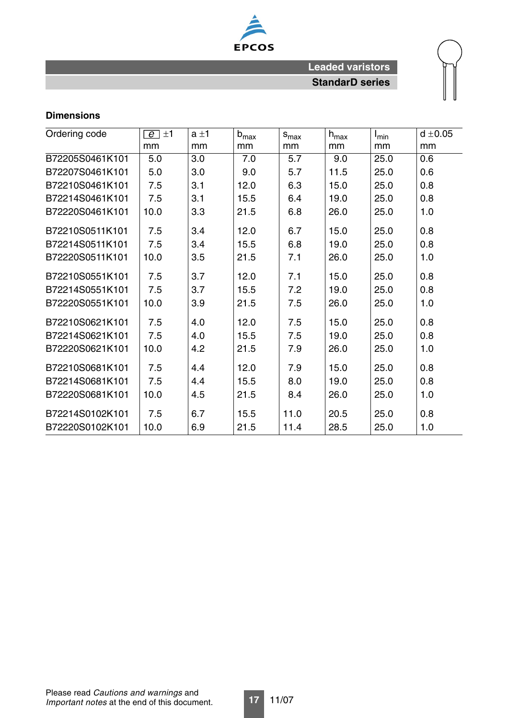

| Ordering code   | $\overline{e}$ ±1 | $a \pm 1$ | $b_{max}$ | $S_{\text{max}}$ | $h_{max}$ | $I_{min}$ | $d \pm 0.05$ |
|-----------------|-------------------|-----------|-----------|------------------|-----------|-----------|--------------|
|                 | mm                | mm        | mm        | mm               | mm        | mm        | mm           |
| B72205S0461K101 | 5.0               | 3.0       | 7.0       | 5.7              | 9.0       | 25.0      | 0.6          |
| B72207S0461K101 | 5.0               | 3.0       | 9.0       | 5.7              | 11.5      | 25.0      | 0.6          |
| B72210S0461K101 | 7.5               | 3.1       | 12.0      | 6.3              | 15.0      | 25.0      | 0.8          |
| B72214S0461K101 | 7.5               | 3.1       | 15.5      | 6.4              | 19.0      | 25.0      | 0.8          |
| B72220S0461K101 | 10.0              | 3.3       | 21.5      | 6.8              | 26.0      | 25.0      | 1.0          |
| B72210S0511K101 | 7.5               | 3.4       | 12.0      | 6.7              | 15.0      | 25.0      | 0.8          |
| B72214S0511K101 | 7.5               | 3.4       | 15.5      | 6.8              | 19.0      | 25.0      | 0.8          |
| B72220S0511K101 | 10.0              | 3.5       | 21.5      | 7.1              | 26.0      | 25.0      | 1.0          |
| B72210S0551K101 | 7.5               | 3.7       | 12.0      | 7.1              | 15.0      | 25.0      | 0.8          |
| B72214S0551K101 | 7.5               | 3.7       | 15.5      | 7.2              | 19.0      | 25.0      | 0.8          |
| B72220S0551K101 | 10.0              | 3.9       | 21.5      | 7.5              | 26.0      | 25.0      | 1.0          |
| B72210S0621K101 | 7.5               | 4.0       | 12.0      | 7.5              | 15.0      | 25.0      | 0.8          |
| B72214S0621K101 | 7.5               | 4.0       | 15.5      | 7.5              | 19.0      | 25.0      | 0.8          |
| B72220S0621K101 | 10.0              | 4.2       | 21.5      | 7.9              | 26.0      | 25.0      | 1.0          |
| B72210S0681K101 | 7.5               | 4.4       | 12.0      | 7.9              | 15.0      | 25.0      | 0.8          |
| B72214S0681K101 | 7.5               | 4.4       | 15.5      | 8.0              | 19.0      | 25.0      | 0.8          |
| B72220S0681K101 | 10.0              | 4.5       | 21.5      | 8.4              | 26.0      | 25.0      | 1.0          |
| B72214S0102K101 | 7.5               | 6.7       | 15.5      | 11.0             | 20.5      | 25.0      | 0.8          |
| B72220S0102K101 | 10.0              | 6.9       | 21.5      | 11.4             | 28.5      | 25.0      | 1.0          |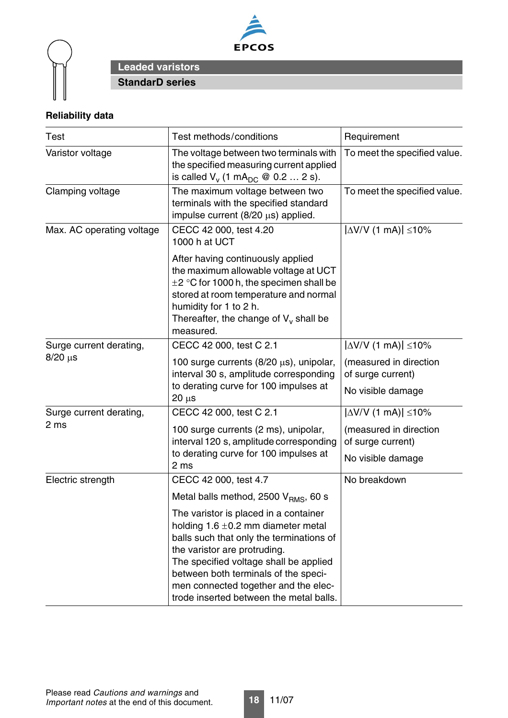



# **Reliability data**

| <b>Test</b>                     | Test methods/conditions                                                                                                                                                                                                                                                                                                           | Requirement                                                      |
|---------------------------------|-----------------------------------------------------------------------------------------------------------------------------------------------------------------------------------------------------------------------------------------------------------------------------------------------------------------------------------|------------------------------------------------------------------|
| Varistor voltage                | The voltage between two terminals with<br>the specified measuring current applied<br>is called $V_v$ (1 mA <sub>DC</sub> @ 0.2  2 s).                                                                                                                                                                                             | To meet the specified value.                                     |
| Clamping voltage                | The maximum voltage between two<br>terminals with the specified standard<br>impulse current $(8/20 \mu s)$ applied.                                                                                                                                                                                                               | To meet the specified value.                                     |
| Max. AC operating voltage       | CECC 42 000, test 4.20<br>1000 h at UCT                                                                                                                                                                                                                                                                                           | $\Delta$ V/V (1 mA) $\vert \leq 10\%$                            |
|                                 | After having continuously applied<br>the maximum allowable voltage at UCT<br>$\pm 2$ °C for 1000 h, the specimen shall be<br>stored at room temperature and normal<br>humidity for 1 to 2 h.<br>Thereafter, the change of $V_v$ shall be<br>measured.                                                                             |                                                                  |
| Surge current derating,         | CECC 42 000, test C 2.1                                                                                                                                                                                                                                                                                                           | $ \Delta$ V/V (1 mA) $ \leq$ 10%                                 |
| $8/20 \mu s$                    | 100 surge currents $(8/20 \mu s)$ , unipolar,<br>interval 30 s, amplitude corresponding<br>to derating curve for 100 impulses at                                                                                                                                                                                                  | (measured in direction<br>of surge current)<br>No visible damage |
|                                 | $20 \mu s$<br>CECC 42 000, test C 2.1                                                                                                                                                                                                                                                                                             | $ \Delta$ V/V (1 mA) $ \leq$ 10%                                 |
| Surge current derating,<br>2 ms | 100 surge currents (2 ms), unipolar,<br>interval 120 s, amplitude corresponding<br>to derating curve for 100 impulses at<br>2 ms                                                                                                                                                                                                  | (measured in direction<br>of surge current)<br>No visible damage |
| Electric strength               | CECC 42 000, test 4.7                                                                                                                                                                                                                                                                                                             | No breakdown                                                     |
|                                 | Metal balls method, 2500 V <sub>RMS</sub> , 60 s                                                                                                                                                                                                                                                                                  |                                                                  |
|                                 | The varistor is placed in a container<br>holding $1.6 \pm 0.2$ mm diameter metal<br>balls such that only the terminations of<br>the varistor are protruding.<br>The specified voltage shall be applied<br>between both terminals of the speci-<br>men connected together and the elec-<br>trode inserted between the metal balls. |                                                                  |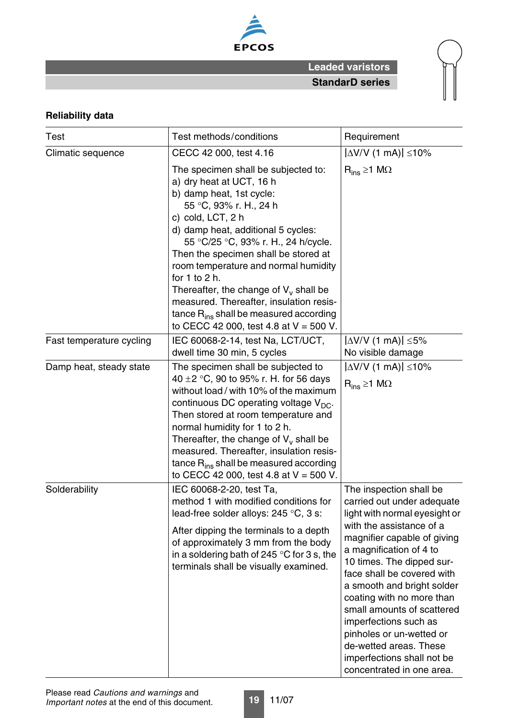

# **Reliability data**

| <b>Test</b>              | Test methods/conditions                                                                                                                                                                                                                                                                                                                                                                                                                                                                                        | Requirement                                                                                                                                                                                                                                                                                                                                                                                                                                                                |
|--------------------------|----------------------------------------------------------------------------------------------------------------------------------------------------------------------------------------------------------------------------------------------------------------------------------------------------------------------------------------------------------------------------------------------------------------------------------------------------------------------------------------------------------------|----------------------------------------------------------------------------------------------------------------------------------------------------------------------------------------------------------------------------------------------------------------------------------------------------------------------------------------------------------------------------------------------------------------------------------------------------------------------------|
| Climatic sequence        | CECC 42 000, test 4.16                                                                                                                                                                                                                                                                                                                                                                                                                                                                                         | $ \Delta$ V/V (1 mA) $ \leq$ 10%                                                                                                                                                                                                                                                                                                                                                                                                                                           |
|                          | The specimen shall be subjected to:<br>a) dry heat at UCT, 16 h<br>b) damp heat, 1st cycle:<br>55 °C, 93% r. H., 24 h<br>c) cold, LCT, 2 h<br>d) damp heat, additional 5 cycles:<br>55 °C/25 °C, 93% r. H., 24 h/cycle.<br>Then the specimen shall be stored at<br>room temperature and normal humidity<br>for $1$ to $2$ h.<br>Thereafter, the change of $V_v$ shall be<br>measured. Thereafter, insulation resis-<br>tance $R_{ins}$ shall be measured according<br>to CECC 42 000, test 4.8 at $V = 500$ V. | $R_{ins} \ge 1$ M $\Omega$                                                                                                                                                                                                                                                                                                                                                                                                                                                 |
| Fast temperature cycling | IEC 60068-2-14, test Na, LCT/UCT,<br>dwell time 30 min, 5 cycles                                                                                                                                                                                                                                                                                                                                                                                                                                               | $ \Delta V/V$ (1 mA) $ \leq 5\%$<br>No visible damage                                                                                                                                                                                                                                                                                                                                                                                                                      |
| Damp heat, steady state  | The specimen shall be subjected to<br>40 $\pm$ 2 °C, 90 to 95% r. H. for 56 days<br>without load / with 10% of the maximum<br>continuous DC operating voltage $V_{DC}$ .<br>Then stored at room temperature and<br>normal humidity for 1 to 2 h.<br>Thereafter, the change of $V_v$ shall be<br>measured. Thereafter, insulation resis-<br>tance $R_{ins}$ shall be measured according<br>to CECC 42 000, test 4.8 at $V = 500$ V.                                                                             | $ \Delta V/V$ (1 mA) $ \leq 10\%$<br>$R_{ins} \ge 1$ M $\Omega$                                                                                                                                                                                                                                                                                                                                                                                                            |
| Solderability            | IEC 60068-2-20, test Ta,<br>method 1 with modified conditions for<br>lead-free solder alloys: 245 °C, 3 s:<br>After dipping the terminals to a depth<br>of approximately 3 mm from the body<br>in a soldering bath of 245 $\degree$ C for 3 s, the<br>terminals shall be visually examined.                                                                                                                                                                                                                    | The inspection shall be<br>carried out under adequate<br>light with normal eyesight or<br>with the assistance of a<br>magnifier capable of giving<br>a magnification of 4 to<br>10 times. The dipped sur-<br>face shall be covered with<br>a smooth and bright solder<br>coating with no more than<br>small amounts of scattered<br>imperfections such as<br>pinholes or un-wetted or<br>de-wetted areas. These<br>imperfections shall not be<br>concentrated in one area. |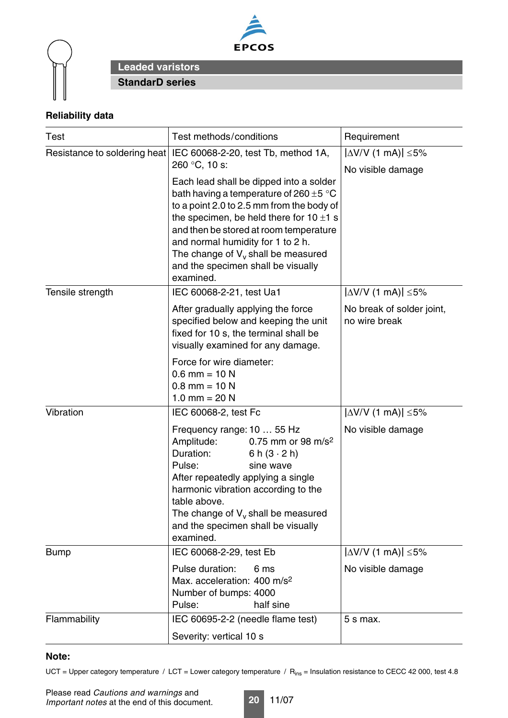



# **Reliability data**

| <b>Test</b>                  | Test methods/conditions                                                                                                                                                                                                                                                                                                                                        | Requirement                                           |  |  |
|------------------------------|----------------------------------------------------------------------------------------------------------------------------------------------------------------------------------------------------------------------------------------------------------------------------------------------------------------------------------------------------------------|-------------------------------------------------------|--|--|
| Resistance to soldering heat | IEC 60068-2-20, test Tb, method 1A,<br>260 °C, 10 s:                                                                                                                                                                                                                                                                                                           | $ \Delta V/V$ (1 mA) $ \leq 5\%$<br>No visible damage |  |  |
|                              | Each lead shall be dipped into a solder<br>bath having a temperature of 260 $\pm$ 5 °C<br>to a point 2.0 to 2.5 mm from the body of<br>the specimen, be held there for $10 \pm 1$ s<br>and then be stored at room temperature<br>and normal humidity for 1 to 2 h.<br>The change of $V_v$ shall be measured<br>and the specimen shall be visually<br>examined. |                                                       |  |  |
| Tensile strength             | IEC 60068-2-21, test Ua1                                                                                                                                                                                                                                                                                                                                       | $ \Delta V/V$ (1 mA) $ \leq 5\%$                      |  |  |
|                              | After gradually applying the force<br>specified below and keeping the unit<br>fixed for 10 s, the terminal shall be<br>visually examined for any damage.                                                                                                                                                                                                       | No break of solder joint,<br>no wire break            |  |  |
|                              | Force for wire diameter:<br>$0.6$ mm = 10 N<br>$0.8$ mm = 10 N<br>1.0 mm = $20 N$                                                                                                                                                                                                                                                                              |                                                       |  |  |
| Vibration                    | IEC 60068-2, test Fc                                                                                                                                                                                                                                                                                                                                           | $ \Delta V/V$ (1 mA) $ \leq 5\%$                      |  |  |
|                              | Frequency range: 10  55 Hz<br>Amplitude:<br>0.75 mm or 98 m/s <sup>2</sup><br>Duration:<br>6 h $(3 \cdot 2 h)$<br>Pulse:<br>sine wave<br>After repeatedly applying a single<br>harmonic vibration according to the<br>table above.<br>The change of $V_v$ shall be measured<br>and the specimen shall be visually<br>examined.                                 | No visible damage                                     |  |  |
| <b>Bump</b>                  | IEC 60068-2-29, test Eb                                                                                                                                                                                                                                                                                                                                        | $ \Delta V/V$ (1 mA) $ \leq 5\%$                      |  |  |
|                              | Pulse duration:<br>6 ms<br>Max. acceleration: 400 m/s <sup>2</sup><br>Number of bumps: 4000<br>half sine<br>Pulse:                                                                                                                                                                                                                                             | No visible damage                                     |  |  |
| Flammability                 | IEC 60695-2-2 (needle flame test)                                                                                                                                                                                                                                                                                                                              | $5 s$ max.                                            |  |  |
|                              | Severity: vertical 10 s                                                                                                                                                                                                                                                                                                                                        |                                                       |  |  |

#### **Note:**

UCT = Upper category temperature / LCT = Lower category temperature /  $R_{ins}$  = Insulation resistance to CECC 42 000, test 4.8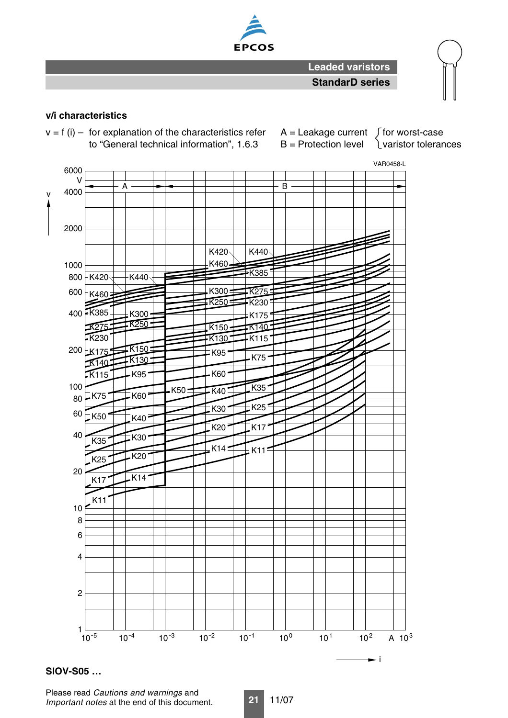

## **v/i characteristics**

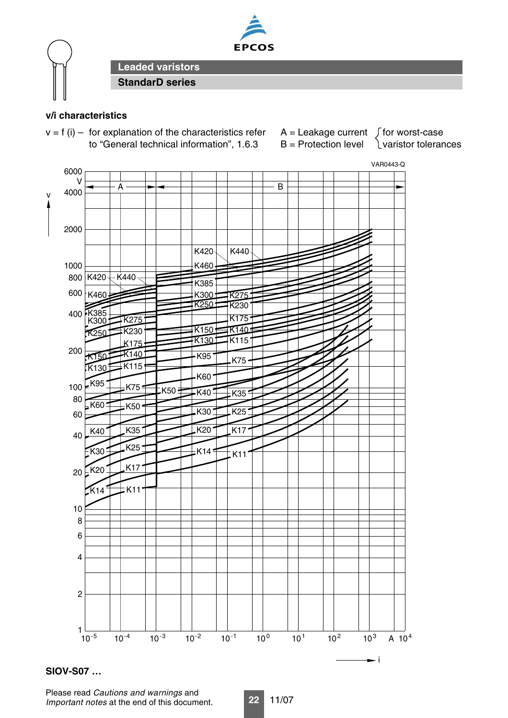



# **v/i characteristics**



Please read *Cautions and warnings* and *Important notes* at the end of this document.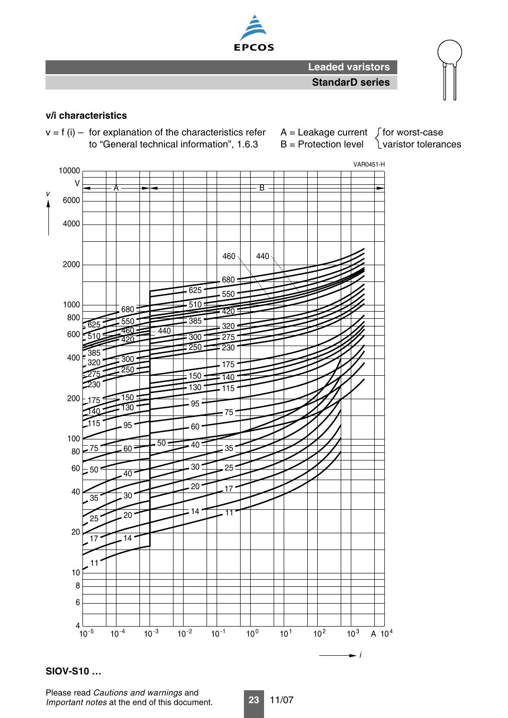

#### **v/i characteristics**



## **SIOV-S10 …**

Please read *Cautions and warnings* and *Important notes* at the end of this document.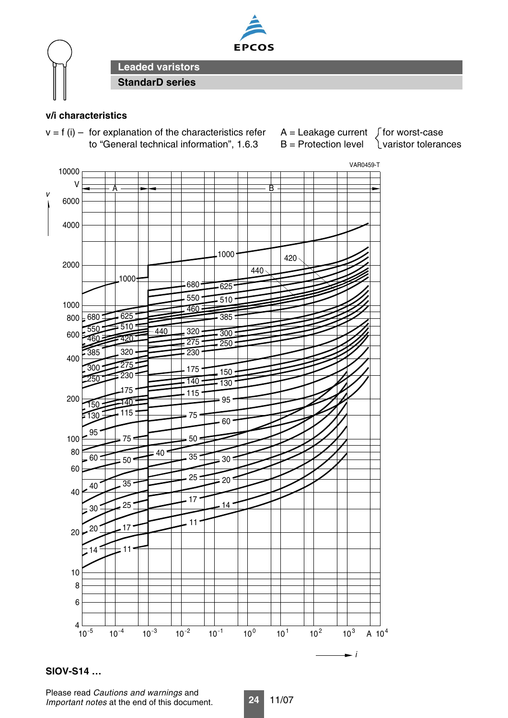



# **v/i characteristics**



## **SIOV-S14 …**

Please read *Cautions and warnings* and *Important notes* at the end of this document.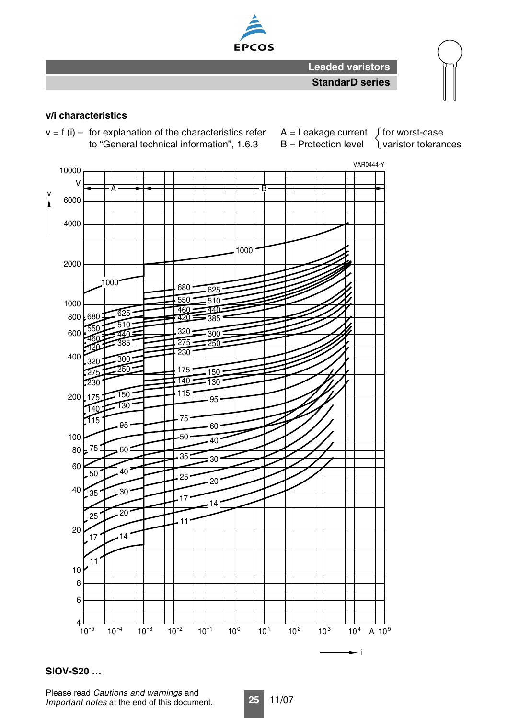

## **v/i characteristics**



## **SIOV-S20 …**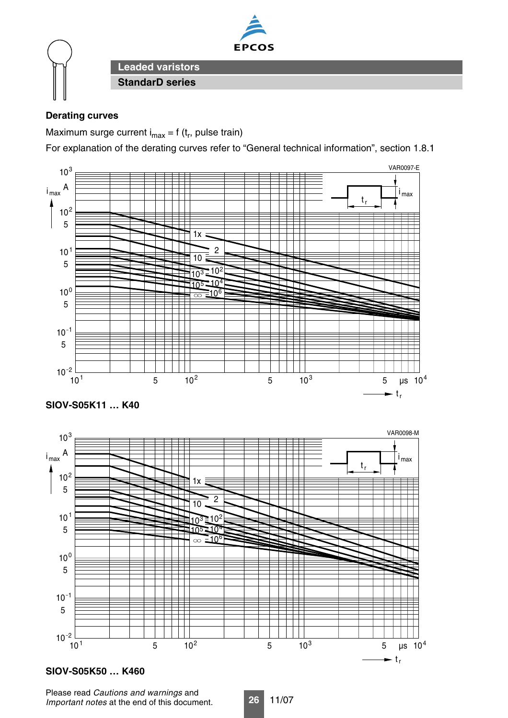

# **Derating curves**

Maximum surge current  $i_{max} = f(t_r)$ , pulse train)

For explanation of the derating curves refer to "General technical information", section 1.8.1





## **SIOV-S05K50 … K460**

Please read *Cautions and warnings* and *Important notes* at the end of this document.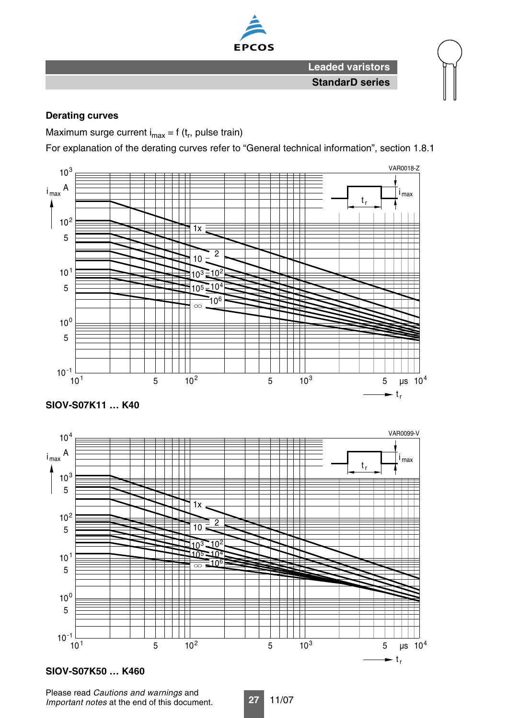

## **Derating curves**

Maximum surge current  $i_{max} = f(t_r)$ , pulse train)

For explanation of the derating curves refer to "General technical information", section 1.8.1





## **SIOV-S07K50 … K460**

Please read *Cautions and warnings* and *Important notes* at the end of this document.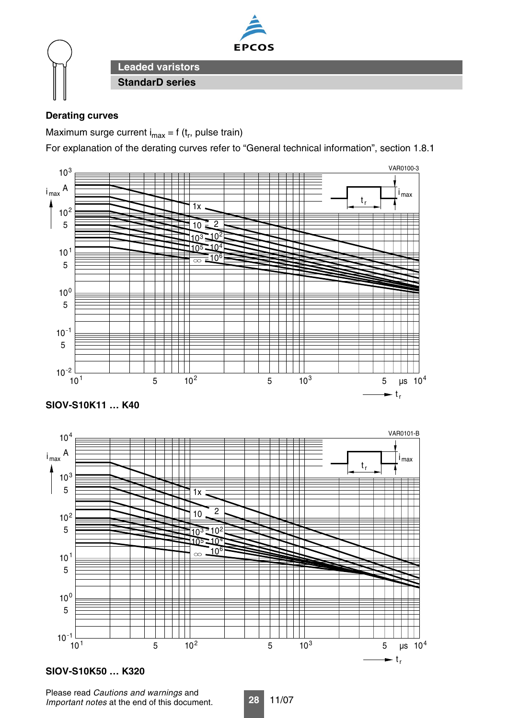

# **Derating curves**

Maximum surge current  $i_{max} = f(t_r)$ , pulse train)

For explanation of the derating curves refer to "General technical information", section 1.8.1





# **SIOV-S10K50 … K320**

Please read *Cautions and warnings* and *Important notes* at the end of this document.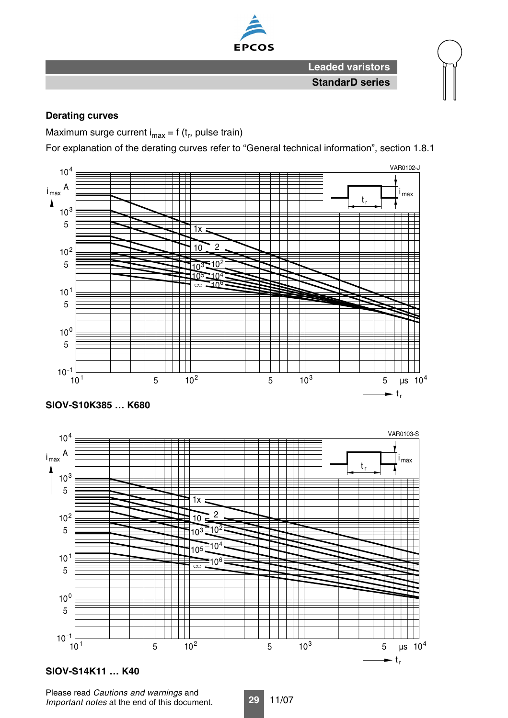

## **Derating curves**

Maximum surge current  $i_{max} = f(t_r)$ , pulse train)

For explanation of the derating curves refer to "General technical information", section 1.8.1





## **SIOV-S14K11 … K40**

Please read *Cautions and warnings* and *Important notes* at the end of this document.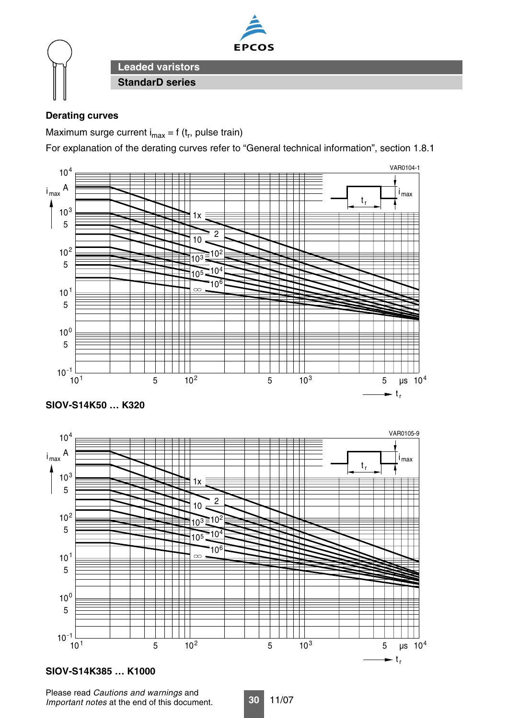

# **Derating curves**

Maximum surge current  $i_{max} = f(t_r)$ , pulse train)

For explanation of the derating curves refer to "General technical information", section 1.8.1







# **SIOV-S14K385 … K1000**

Please read *Cautions and warnings* and *Important notes* at the end of this document.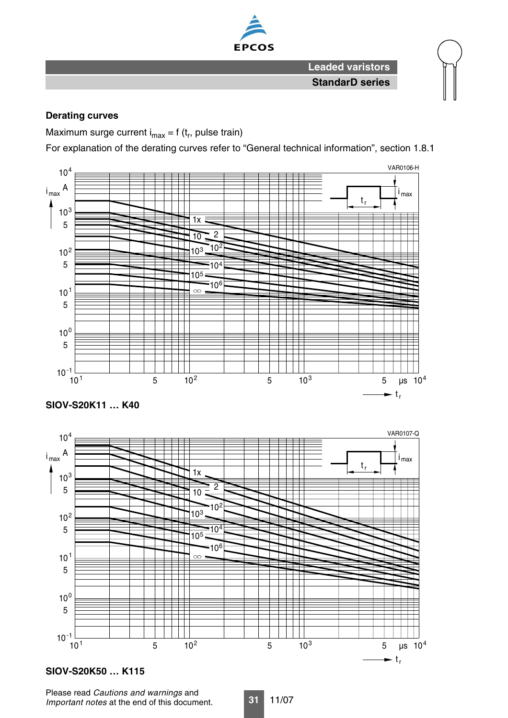

## **Derating curves**

Maximum surge current  $i_{max} = f(t_r)$ , pulse train)

For explanation of the derating curves refer to "General technical information", section 1.8.1





## **SIOV-S20K50 … K115**

Please read *Cautions and warnings* and *Important notes* at the end of this document.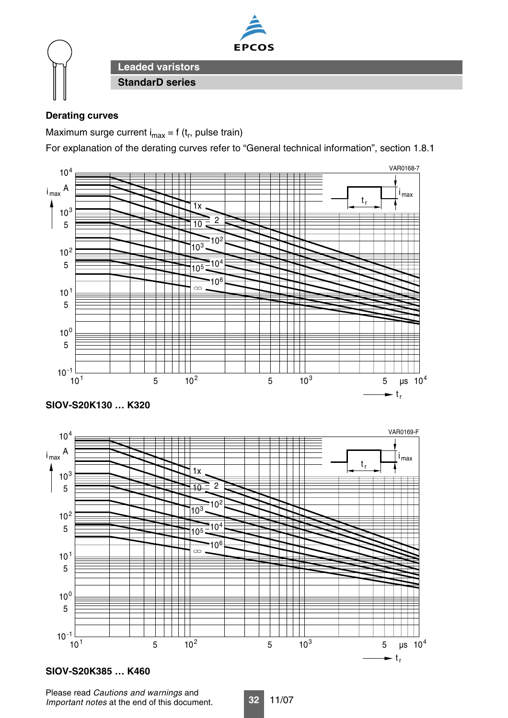

# **Derating curves**

Maximum surge current  $i_{max} = f(t_r)$ , pulse train)

For explanation of the derating curves refer to "General technical information", section 1.8.1



## **SIOV-S20K385 … K460**

Please read *Cautions and warnings* and *Important notes* at the end of this document.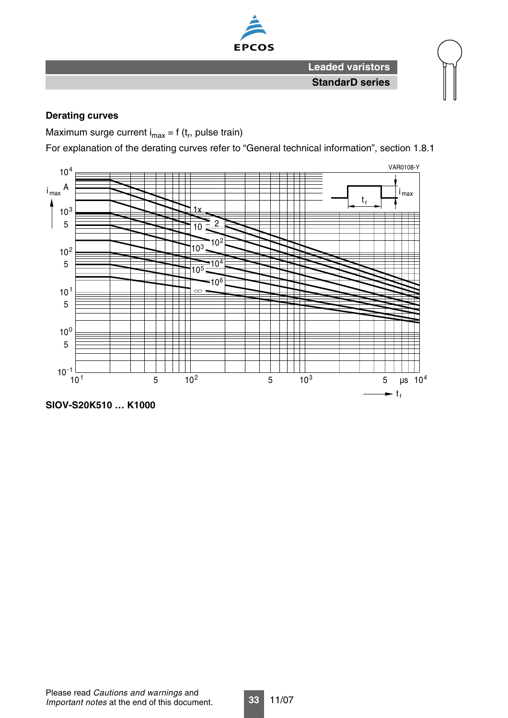

## **Derating curves**

Maximum surge current  $i_{max} = f(t_r, pulse)$  train)

For explanation of the derating curves refer to "General technical information", section 1.8.1



**SIOV-S20K510 … K1000**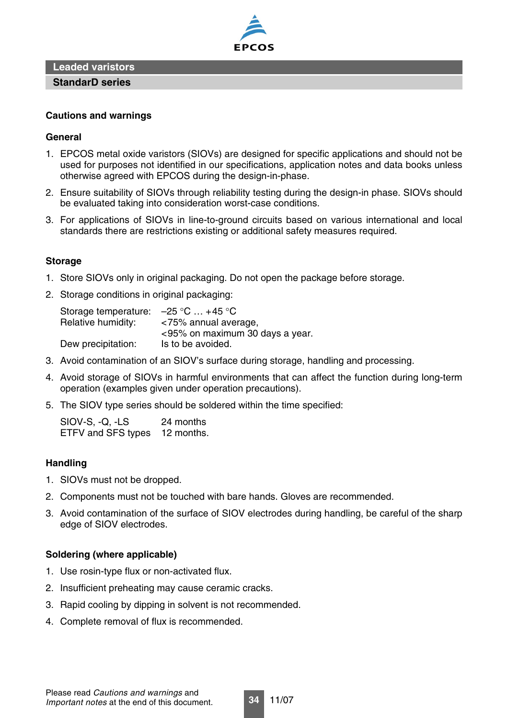

**Leaded varistors**

**StandarD series**

#### **Cautions and warnings**

#### **General**

- 1. EPCOS metal oxide varistors (SIOVs) are designed for specific applications and should not be used for purposes not identified in our specifications, application notes and data books unless otherwise agreed with EPCOS during the design-in-phase.
- 2. Ensure suitability of SIOVs through reliability testing during the design-in phase. SIOVs should be evaluated taking into consideration worst-case conditions.
- 3. For applications of SIOVs in line-to-ground circuits based on various international and local standards there are restrictions existing or additional safety measures required.

#### **Storage**

- 1. Store SIOVs only in original packaging. Do not open the package before storage.
- 2. Storage conditions in original packaging:

| Storage temperature: $-25$ °C  +45 °C |                                 |
|---------------------------------------|---------------------------------|
| Relative humidity:                    | <75% annual average,            |
|                                       | <95% on maximum 30 days a year. |
| Dew precipitation:                    | Is to be avoided.               |

- 3. Avoid contamination of an SIOV's surface during storage, handling and processing.
- 4. Avoid storage of SIOVs in harmful environments that can affect the function during long-term operation (examples given under operation precautions).
- 5. The SIOV type series should be soldered within the time specified:

SIOV-S, -Q, -LS 24 months ETFV and SFS types 12 months.

## **Handling**

- 1. SIOVs must not be dropped.
- 2. Components must not be touched with bare hands. Gloves are recommended.
- 3. Avoid contamination of the surface of SIOV electrodes during handling, be careful of the sharp edge of SIOV electrodes.

#### **Soldering (where applicable)**

- 1. Use rosin-type flux or non-activated flux.
- 2. Insufficient preheating may cause ceramic cracks.
- 3. Rapid cooling by dipping in solvent is not recommended.
- 4. Complete removal of flux is recommended.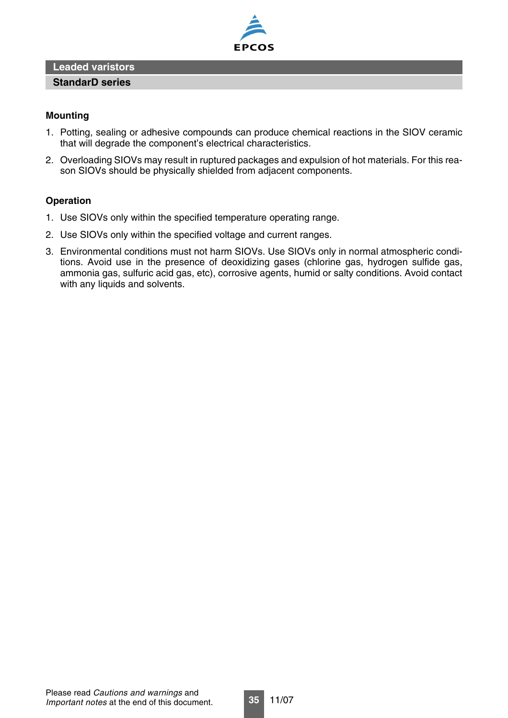## **Leaded varistors**



#### **Mounting**

1. Potting, sealing or adhesive compounds can produce chemical reactions in the SIOV ceramic that will degrade the component's electrical characteristics.

**EPCOS** 

2. Overloading SIOVs may result in ruptured packages and expulsion of hot materials. For this reason SIOVs should be physically shielded from adjacent components.

#### **Operation**

- 1. Use SIOVs only within the specified temperature operating range.
- 2. Use SIOVs only within the specified voltage and current ranges.
- 3. Environmental conditions must not harm SIOVs. Use SIOVs only in normal atmospheric conditions. Avoid use in the presence of deoxidizing gases (chlorine gas, hydrogen sulfide gas, ammonia gas, sulfuric acid gas, etc), corrosive agents, humid or salty conditions. Avoid contact with any liquids and solvents.